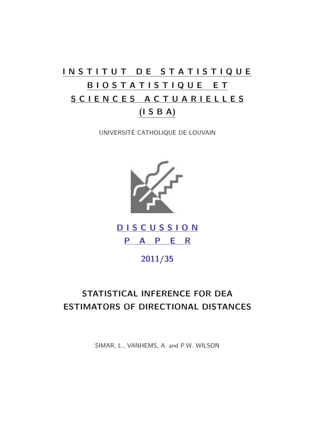# INSTITUT DE STATISTIQUE B I O S T A T I S T I Q U E E T S C I E N C E S A C T U A R I E L L E S (I S B A)

UNIVERSITÉ CATHOLIQUE DE LOUVAIN



D I S C U S S I O N P A P E R

2011/35

## STATISTICAL INFERENCE FOR DEA ESTIMATORS OF DIRECTIONAL DISTANCES

SIMAR, L., VANHEMS, A. and P.W. WILSON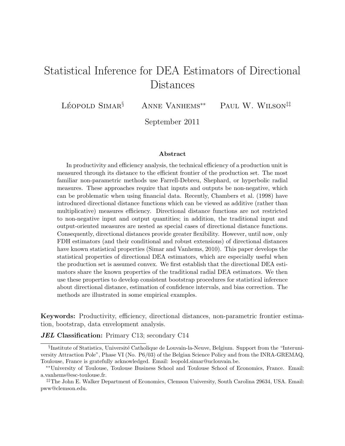## Statistical Inference for DEA Estimators of Directional Distances

LÉOPOLD SIMAR $§$ 

*§* Anne Vanhems*∗∗* Paul W. Wilson*‡‡*

September 2011

#### **Abstract**

In productivity and efficiency analysis, the technical efficiency of a production unit is measured through its distance to the efficient frontier of the production set. The most familiar non-parametric methods use Farrell-Debreu, Shephard, or hyperbolic radial measures. These approaches require that inputs and outputs be non-negative, which can be problematic when using financial data. Recently, Chambers et al. (1998) have introduced directional distance functions which can be viewed as additive (rather than multiplicative) measures efficiency. Directional distance functions are not restricted to non-negative input and output quantities; in addition, the traditional input and output-oriented measures are nested as special cases of directional distance functions. Consequently, directional distances provide greater flexibility. However, until now, only FDH estimators (and their conditional and robust extensions) of directional distances have known statistical properties (Simar and Vanhems, 2010). This paper develops the statistical properties of directional DEA estimators, which are especially useful when the production set is assumed convex. We first establish that the directional DEA estimators share the known properties of the traditional radial DEA estimators. We then use these properties to develop consistent bootstrap procedures for statistical inference about directional distance, estimation of confidence intervals, and bias correction. The methods are illustrated in some empirical examples.

**Keywords:** Productivity, efficiency, directional distances, non-parametric frontier estimation, bootstrap, data envelopment analysis.

#### *JEL* **Classification:** Primary C13; secondary C14

<sup>&</sup>lt;sup>§</sup>Institute of Statistics, Université Catholique de Louvain-la-Neuve, Belgium. Support from the "Interuniversity Attraction Pole", Phase VI (No. P6/03) of the Belgian Science Policy and from the INRA-GREMAQ, Toulouse, France is gratefully acknowledged. Email: leopold.simar@uclouvain.be.

*<sup>∗∗</sup>*University of Toulouse, Toulouse Business School and Toulouse School of Economics, France. Email: a.vanhems@esc-toulouse.fr.

*<sup>‡‡</sup>*The John E. Walker Department of Economics, Clemson University, South Carolina 29634, USA. Email: pww@clemson.edu.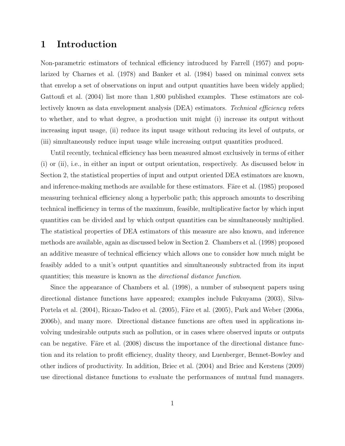### **1 Introduction**

Non-parametric estimators of technical efficiency introduced by Farrell (1957) and popularized by Charnes et al. (1978) and Banker et al. (1984) based on minimal convex sets that envelop a set of observations on input and output quantities have been widely applied; Gattoufi et al. (2004) list more than 1,800 published examples. These estimators are collectively known as data envelopment analysis (DEA) estimators. *Technical efficiency* refers to whether, and to what degree, a production unit might (i) increase its output without increasing input usage, (ii) reduce its input usage without reducing its level of outputs, or (iii) simultaneously reduce input usage while increasing output quantities produced.

Until recently, technical efficiency has been measured almost exclusively in terms of either (i) or (ii), i.e., in either an input or output orientation, respectively. As discussed below in Section 2, the statistical properties of input and output oriented DEA estimators are known, and inference-making methods are available for these estimators. Färe et al. (1985) proposed measuring technical efficiency along a hyperbolic path; this approach amounts to describing technical inefficiency in terms of the maximum, feasible, multiplicative factor by which input quantities can be divided and by which output quantities can be simultaneously multiplied. The statistical properties of DEA estimators of this measure are also known, and inference methods are available, again as discussed below in Section 2. Chambers et al. (1998) proposed an additive measure of technical efficiency which allows one to consider how much might be feasibly added to a unit's output quantities and simultaneously subtracted from its input quantities; this measure is known as the *directional distance function*.

Since the appearance of Chambers et al. (1998), a number of subsequent papers using directional distance functions have appeared; examples include Fukuyama (2003), Silva-Portela et al.  $(2004)$ , Ricazo-Tadeo et al.  $(2005)$ , Färe et al.  $(2005)$ , Park and Weber  $(2006a)$ , 2006b), and many more. Directional distance functions are often used in applications involving undesirable outputs such as pollution, or in cases where observed inputs or outputs can be negative. Färe et al.  $(2008)$  discuss the importance of the directional distance function and its relation to profit efficiency, duality theory, and Luenberger, Bennet-Bowley and other indices of productivity. In addition, Briec et al. (2004) and Briec and Kerstens (2009) use directional distance functions to evaluate the performances of mutual fund managers.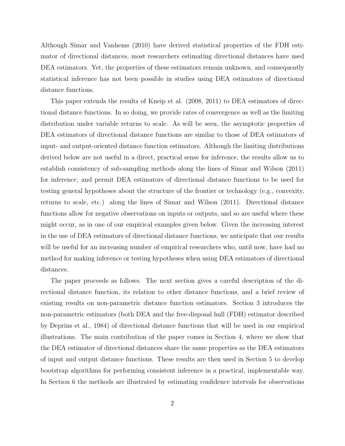Although Simar and Vanhems (2010) have derived statistical properties of the FDH estimator of directional distances, most researchers estimating directional distances have used DEA estimators. Yet, the properties of these estimators remain unknown, and consequently statistical inference has not been possible in studies using DEA estimators of directional distance functions.

This paper extends the results of Kneip et al. (2008, 2011) to DEA estimators of directional distance functions. In so doing, we provide rates of convergence as well as the limiting distribution under variable returns to scale. As will be seen, the asymptotic properties of DEA estimators of directional distance functions are similar to those of DEA estimators of input- and output-oriented distance function estimators. Although the limiting distributions derived below are not useful in a direct, practical sense for inference, the results allow us to establish consistency of sub-sampling methods along the lines of Simar and Wilson (2011) for inference, and permit DEA estimators of directional distance functions to be used for testing general hypotheses about the structure of the frontier or technology (e.g., convexity, returns to scale, etc.) along the lines of Simar and Wilson (2011). Directional distance functions allow for negative observations on inputs or outputs, and so are useful where these might occur, as in one of our empirical examples given below. Given the increasing interest in the use of DEA estimators of directional distance functions, we anticipate that our results will be useful for an increasing number of empirical researchers who, until now, have had no method for making inference or testing hypotheses when using DEA estimators of directional distances.

The paper proceeds as follows. The next section gives a careful description of the directional distance function, its relation to other distance functions, and a brief review of existing results on non-parametric distance function estimators. Section 3 introduces the non-parametric estimators (both DEA and the free-disposal hull (FDH) estimator described by Deprins et al., 1984) of directional distance functions that will be used in our empirical illustrations. The main contribution of the paper comes in Section 4, where we show that the DEA estimator of directional distances share the same properties as the DEA estimators of input and output distance functions. These results are then used in Section 5 to develop bootstrap algorithms for performing consistent inference in a practical, implementable way. In Section 6 the methods are illustrated by estimating confidence intervals for observations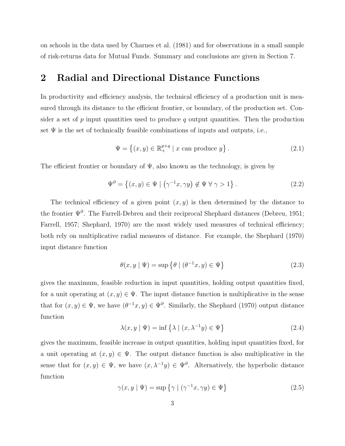on schools in the data used by Charnes et al. (1981) and for observations in a small sample of risk-returns data for Mutual Funds. Summary and conclusions are given in Section 7.

### **2 Radial and Directional Distance Functions**

In productivity and efficiency analysis, the technical efficiency of a production unit is measured through its distance to the efficient frontier, or boundary, of the production set. Consider a set of  $p$  input quantities used to produce  $q$  output quantities. Then the production set  $\Psi$  is the set of technically feasible combinations of inputs and outputs, i.e.,

$$
\Psi = \left\{ (x, y) \in \mathbb{R}_+^{p+q} \mid x \text{ can produce } y \right\}. \tag{2.1}
$$

The efficient frontier or boundary of  $\Psi$ , also known as the technology, is given by

$$
\Psi^{\partial} = \left\{ (x, y) \in \Psi \mid \left( \gamma^{-1} x, \gamma y \right) \notin \Psi \; \forall \; \gamma > 1 \right\}. \tag{2.2}
$$

The technical efficiency of a given point  $(x, y)$  is then determined by the distance to the frontier Ψ*<sup>∂</sup>* . The Farrell-Debreu and their reciprocal Shephard distances (Debreu, 1951; Farrell, 1957; Shephard, 1970) are the most widely used measures of technical efficiency; both rely on multiplicative radial measures of distance. For example, the Shephard (1970) input distance function

$$
\theta(x, y \mid \Psi) = \sup \left\{ \theta \mid (\theta^{-1}x, y) \in \Psi \right\} \tag{2.3}
$$

gives the maximum, feasible reduction in input quantities, holding output quantities fixed, for a unit operating at  $(x, y) \in \Psi$ . The input distance function is multiplicative in the sense that for  $(x, y) \in \Psi$ , we have  $(\theta^{-1}x, y) \in \Psi^{\partial}$ . Similarly, the Shephard (1970) output distance function

$$
\lambda(x, y \mid \Psi) = \inf \left\{ \lambda \mid (x, \lambda^{-1}y) \in \Psi \right\} \tag{2.4}
$$

gives the maximum, feasible increase in output quantities, holding input quantities fixed, for a unit operating at  $(x, y) \in \Psi$ . The output distance function is also multiplicative in the sense that for  $(x, y) \in \Psi$ , we have  $(x, \lambda^{-1}y) \in \Psi^{\partial}$ . Alternatively, the hyperbolic distance function

$$
\gamma(x, y \mid \Psi) = \sup \left\{ \gamma \mid (\gamma^{-1}x, \gamma y) \in \Psi \right\} \tag{2.5}
$$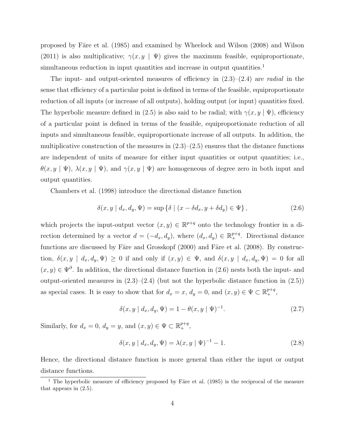proposed by Färe et al. (1985) and examined by Wheelock and Wilson (2008) and Wilson (2011) is also multiplicative;  $\gamma(x, y \mid \Psi)$  gives the maximum feasible, equiproportionate, simultaneous reduction in input quantities and increase in output quantities.<sup>1</sup>

The input- and output-oriented measures of efficiency in (2.3)–(2.4) are *radial* in the sense that efficiency of a particular point is defined in terms of the feasible, equiproportionate reduction of all inputs (or increase of all outputs), holding output (or input) quantities fixed. The hyperbolic measure defined in (2.5) is also said to be radial; with  $\gamma(x, y | \Psi)$ , efficiency of a particular point is defined in terms of the feasible, equiproportionate reduction of all inputs and simultaneous feasible, equiproportionate increase of all outputs. In addition, the multiplicative construction of the measures in  $(2.3)$ – $(2.5)$  ensures that the distance functions are independent of units of measure for either input quantities or output quantities; i.e.,  $\theta(x, y | \Psi)$ ,  $\lambda(x, y | \Psi)$ , and  $\gamma(x, y | \Psi)$  are homogeneous of degree zero in both input and output quantities.

Chambers et al. (1998) introduce the directional distance function

$$
\delta(x, y \mid d_x, d_y, \Psi) = \sup \{ \delta \mid (x - \delta d_x, y + \delta d_y) \in \Psi \}, \qquad (2.6)
$$

which projects the input-output vector  $(x, y) \in \mathbb{R}^{p+q}$  onto the technology frontier in a direction determined by a vector  $d = (-d_x, d_y)$ , where  $(d_x, d_y) \in \mathbb{R}^{p+q}_+$ . Directional distance functions are discussed by Färe and Grosskopf  $(2000)$  and Färe et al.  $(2008)$ . By construction,  $\delta(x, y \mid d_x, d_y, \Psi) \ge 0$  if and only if  $(x, y) \in \Psi$ , and  $\delta(x, y \mid d_x, d_y, \Psi) = 0$  for all  $(x, y) \in \Psi^{\partial}$ . In addition, the directional distance function in (2.6) nests both the input- and output-oriented measures in  $(2.3)$ – $(2.4)$  (but not the hyperbolic distance function in  $(2.5)$ ) as special cases. It is easy to show that for  $d_x = x$ ,  $d_y = 0$ , and  $(x, y) \in \Psi \subset \mathbb{R}^{p+q}_+$ ,

$$
\delta(x, y \mid d_x, d_y, \Psi) = 1 - \theta(x, y \mid \Psi)^{-1}.
$$
\n(2.7)

Similarly, for  $d_x = 0$ ,  $d_y = y$ , and  $(x, y) \in \Psi \subset \mathbb{R}^{p+q}_+$ ,

$$
\delta(x, y \mid d_x, d_y, \Psi) = \lambda(x, y \mid \Psi)^{-1} - 1.
$$
\n(2.8)

Hence, the directional distance function is more general than either the input or output distance functions.

<sup>&</sup>lt;sup>1</sup> The hyperbolic measure of efficiency proposed by Färe et al. (1985) is the reciprocal of the measure that appears in (2.5).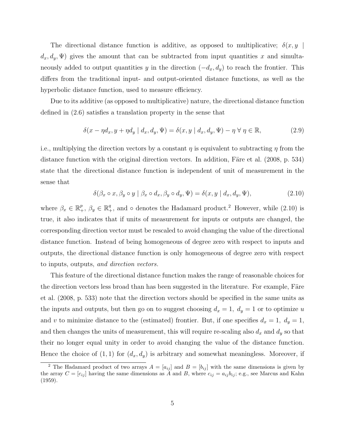The directional distance function is additive, as opposed to multiplicative;  $\delta(x, y)$  $d_x, d_y, \Psi$  gives the amount that can be subtracted from input quantities *x* and simultaneously added to output quantities *y* in the direction  $(-d_x, d_y)$  to reach the frontier. This differs from the traditional input- and output-oriented distance functions, as well as the hyperbolic distance function, used to measure efficiency.

Due to its additive (as opposed to multiplicative) nature, the directional distance function defined in (2.6) satisfies a translation property in the sense that

$$
\delta(x - \eta d_x, y + \eta d_y | d_x, d_y, \Psi) = \delta(x, y | d_x, d_y, \Psi) - \eta \forall \eta \in \mathbb{R},
$$
\n(2.9)

i.e., multiplying the direction vectors by a constant *η* is equivalent to subtracting *η* from the distance function with the original direction vectors. In addition, Färe et al.  $(2008, p. 534)$ state that the directional distance function is independent of unit of measurement in the sense that

$$
\delta(\beta_x \circ x, \beta_y \circ y \mid \beta_x \circ d_x, \beta_y \circ d_y, \Psi) = \delta(x, y \mid d_x, d_y, \Psi), \tag{2.10}
$$

where  $\beta_x \in \mathbb{R}^p_+$ ,  $\beta_y \in \mathbb{R}^q_+$ , and  $\circ$  denotes the Hadamard product.<sup>2</sup> However, while (2.10) is true, it also indicates that if units of measurement for inputs or outputs are changed, the corresponding direction vector must be rescaled to avoid changing the value of the directional distance function. Instead of being homogeneous of degree zero with respect to inputs and outputs, the directional distance function is only homogeneous of degree zero with respect to inputs, outputs, *and direction vectors.*

This feature of the directional distance function makes the range of reasonable choices for the direction vectors less broad than has been suggested in the literature. For example, Färe et al. (2008, p. 533) note that the direction vectors should be specified in the same units as the inputs and outputs, but then go on to suggest choosing  $d_x = 1$ ,  $d_y = 1$  or to optimize *u* and *v* to minimize distance to the (estimated) frontier. But, if one specifies  $d_x = 1$ ,  $d_y = 1$ , and then changes the units of measurement, this will require re-scaling also  $d_x$  and  $d_y$  so that their no longer equal unity in order to avoid changing the value of the distance function. Hence the choice of  $(1, 1)$  for  $(d_x, d_y)$  is arbitrary and somewhat meaningless. Moreover, if

<sup>&</sup>lt;sup>2</sup> The Hadamard product of two arrays  $A = [a_{ij}]$  and  $B = [b_{ij}]$  with the same dimensions is given by the array  $C = [c_{ij}]$  having the same dimensions as  $\ddot{A}$  and  $B$ , where  $c_{ij} = a_{ij}b_{ij}$ ; e.g., see Marcus and Kahn (1959).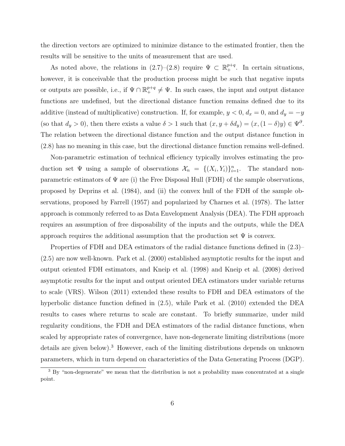the direction vectors are optimized to minimize distance to the estimated frontier, then the results will be sensitive to the units of measurement that are used.

As noted above, the relations in  $(2.7)-(2.8)$  require  $\Psi \subset \mathbb{R}^{p+q}_+$ . In certain situations, however, it is conceivable that the production process might be such that negative inputs or outputs are possible, i.e., if  $\Psi \cap \mathbb{R}^{p+q}_+ \neq \Psi$ . In such cases, the input and output distance functions are undefined, but the directional distance function remains defined due to its additive (instead of multiplicative) construction. If, for example,  $y < 0$ ,  $d_x = 0$ , and  $d_y = -y$ (so that  $d_y > 0$ ), then there exists a value  $\delta > 1$  such that  $(x, y + \delta d_y) = (x, (1 - \delta)y) \in \Psi^{\partial}$ . The relation between the directional distance function and the output distance function in (2.8) has no meaning in this case, but the directional distance function remains well-defined.

Non-parametric estimation of technical efficiency typically involves estimating the production set  $\Psi$  using a sample of observations  $\mathcal{X}_n = \{(X_i, Y_i)\}_{i=1}^n$ . The standard nonparametric estimators of  $\Psi$  are (i) the Free Disposal Hull (FDH) of the sample observations, proposed by Deprins et al. (1984), and (ii) the convex hull of the FDH of the sample observations, proposed by Farrell (1957) and popularized by Charnes et al. (1978). The latter approach is commonly referred to as Data Envelopment Analysis (DEA). The FDH approach requires an assumption of free disposability of the inputs and the outputs, while the DEA approach requires the additional assumption that the production set  $\Psi$  is convex.

Properties of FDH and DEA estimators of the radial distance functions defined in (2.3)– (2.5) are now well-known. Park et al. (2000) established asymptotic results for the input and output oriented FDH estimators, and Kneip et al. (1998) and Kneip et al. (2008) derived asymptotic results for the input and output oriented DEA estimators under variable returns to scale (VRS). Wilson (2011) extended these results to FDH and DEA estimators of the hyperbolic distance function defined in (2.5), while Park et al. (2010) extended the DEA results to cases where returns to scale are constant. To briefly summarize, under mild regularity conditions, the FDH and DEA estimators of the radial distance functions, when scaled by appropriate rates of convergence, have non-degenerate limiting distributions (more details are given below).<sup>3</sup> However, each of the limiting distributions depends on unknown parameters, which in turn depend on characteristics of the Data Generating Process (DGP).

 $\overline{3}$  By "non-degenerate" we mean that the distribution is not a probability mass concentrated at a single point.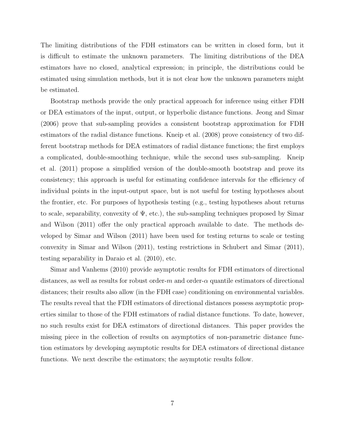The limiting distributions of the FDH estimators can be written in closed form, but it is difficult to estimate the unknown parameters. The limiting distributions of the DEA estimators have no closed, analytical expression; in principle, the distributions could be estimated using simulation methods, but it is not clear how the unknown parameters might be estimated.

Bootstrap methods provide the only practical approach for inference using either FDH or DEA estimators of the input, output, or hyperbolic distance functions. Jeong and Simar (2006) prove that sub-sampling provides a consistent bootstrap approximation for FDH estimators of the radial distance functions. Kneip et al. (2008) prove consistency of two different bootstrap methods for DEA estimators of radial distance functions; the first employs a complicated, double-smoothing technique, while the second uses sub-sampling. Kneip et al. (2011) propose a simplified version of the double-smooth bootstrap and prove its consistency; this approach is useful for estimating confidence intervals for the efficiency of individual points in the input-output space, but is not useful for testing hypotheses about the frontier, etc. For purposes of hypothesis testing (e.g., testing hypotheses about returns to scale, separability, convexity of  $\Psi$ , etc.), the sub-sampling techniques proposed by Simar and Wilson (2011) offer the only practical approach available to date. The methods developed by Simar and Wilson (2011) have been used for testing returns to scale or testing convexity in Simar and Wilson (2011), testing restrictions in Schubert and Simar (2011), testing separability in Daraio et al. (2010), etc.

Simar and Vanhems (2010) provide asymptotic results for FDH estimators of directional distances, as well as results for robust order- $m$  and order- $\alpha$  quantile estimators of directional distances; their results also allow (in the FDH case) conditioning on environmental variables. The results reveal that the FDH estimators of directional distances possess asymptotic properties similar to those of the FDH estimators of radial distance functions. To date, however, no such results exist for DEA estimators of directional distances. This paper provides the missing piece in the collection of results on asymptotics of non-parametric distance function estimators by developing asymptotic results for DEA estimators of directional distance functions. We next describe the estimators; the asymptotic results follow.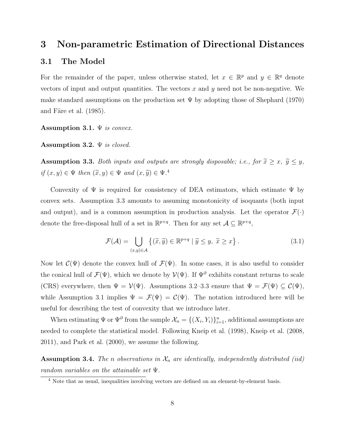### **3 Non-parametric Estimation of Directional Distances**

#### **3.1 The Model**

For the remainder of the paper, unless otherwise stated, let  $x \in \mathbb{R}^p$  and  $y \in \mathbb{R}^q$  denote vectors of input and output quantities. The vectors *x* and *y* need not be non-negative. We make standard assumptions on the production set  $\Psi$  by adopting those of Shephard (1970) and Färe et al.  $(1985)$ .

**Assumption 3.1.** Ψ *is convex.*

**Assumption 3.2.** Ψ *is closed.*

**Assumption 3.3.** *Both inputs and outputs are strongly disposable; i.e., for*  $\tilde{x} \geq x$ ,  $\tilde{y} \leq y$ *,*  $if (x, y) \in \Psi \text{ then } (\tilde{x}, y) \in \Psi \text{ and } (x, \tilde{y}) \in \Psi$ .

Convexity of  $\Psi$  is required for consistency of DEA estimators, which estimate  $\Psi$  by convex sets. Assumption 3.3 amounts to assuming monotonicity of isoquants (both input and output), and is a common assumption in production analysis. Let the operator  $\mathcal{F}(\cdot)$ denote the free-disposal hull of a set in  $\mathbb{R}^{p+q}$ . Then for any set  $\mathcal{A} \subseteq \mathbb{R}^{p+q}$ ,

$$
\mathcal{F}(\mathcal{A}) = \bigcup_{(x,y)\in\mathcal{A}} \{(\widetilde{x}, \widetilde{y}) \in \mathbb{R}^{p+q} \mid \widetilde{y} \le y, \ \widetilde{x} \ge x\}.
$$
\n(3.1)

Now let  $\mathcal{C}(\Psi)$  denote the convex hull of  $\mathcal{F}(\Psi)$ . In some cases, it is also useful to consider the conical hull of  $\mathcal{F}(\Psi)$ , which we denote by  $\mathcal{V}(\Psi)$ . If  $\Psi^{\partial}$  exhibits constant returns to scale (CRS) everywhere, then  $\Psi = \mathcal{V}(\Psi)$ . Assumptions 3.2–3.3 ensure that  $\Psi = \mathcal{F}(\Psi) \subseteq \mathcal{C}(\Psi)$ , while Assumption 3.1 implies  $\Psi = \mathcal{F}(\Psi) = \mathcal{C}(\Psi)$ . The notation introduced here will be useful for describing the test of convexity that we introduce later.

When estimating  $\Psi$  or  $\Psi^{\partial}$  from the sample  $\mathcal{X}_n = \{(X_i, Y_i)\}_{i=1}^n$ , additional assumptions are needed to complete the statistical model. Following Kneip et al. (1998), Kneip et al. (2008, 2011), and Park et al. (2000), we assume the following.

**Assumption 3.4.** *The n* observations in  $\mathcal{X}_n$  are identically, independently distributed (iid) *random variables on the attainable set* Ψ*.*

<sup>&</sup>lt;sup>4</sup> Note that as usual, inequalities involving vectors are defined on an element-by-element basis.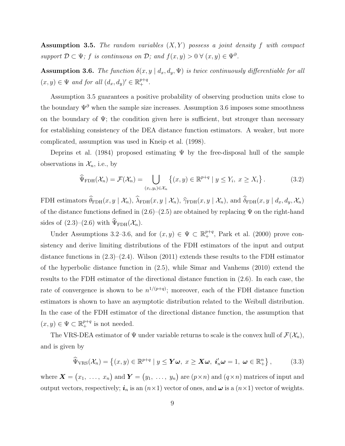**Assumption 3.5.** *The random variables* (*X, Y* ) *possess a joint density f with compact support*  $\mathcal{D} \subset \Psi$ ; *f is continuous on*  $\mathcal{D}$ ; and  $f(x, y) > 0 \ \forall (x, y) \in \Psi^{\partial}$ .

**Assumption 3.6.** *The function*  $\delta(x, y | d_x, d_y, \Psi)$  *is twice continuously differentiable for all*  $(x, y) \in \Psi$  *and for all*  $(d_x, d_y)' \in \mathbb{R}^{p+q}_+$ .

Assumption 3.5 guarantees a positive probability of observing production units close to the boundary  $\Psi^{\partial}$  when the sample size increases. Assumption 3.6 imposes some smoothness on the boundary of  $\Psi$ ; the condition given here is sufficient, but stronger than necessary for establishing consistency of the DEA distance function estimators. A weaker, but more complicated, assumption was used in Kneip et al. (1998).

Deprins et al. (1984) proposed estimating  $\Psi$  by the free-disposal hull of the sample observations in  $\mathcal{X}_n$ , i.e., by

$$
\widehat{\Psi}_{\text{FDH}}(\mathcal{X}_n) = \mathcal{F}(\mathcal{X}_n) = \bigcup_{(x_i, y_i) \in \mathcal{X}_n} \left\{ (x, y) \in \mathbb{R}^{p+q} \mid y \le Y_i, \ x \ge X_i \right\}.
$$
\n(3.2)

FDH estimators  $\widehat{\theta}_{\text{FDH}}(x, y | \mathcal{X}_n)$ ,  $\widehat{\lambda}_{\text{FDH}}(x, y | \mathcal{X}_n)$ ,  $\widehat{\gamma}_{\text{FDH}}(x, y | \mathcal{X}_n)$ , and  $\widehat{\delta}_{\text{FDH}}(x, y | d_x, d_y, \mathcal{X}_n)$ of the distance functions defined in  $(2.6)$ – $(2.5)$  are obtained by replacing  $\Psi$  on the right-hand sides of  $(2.3)$ – $(2.6)$  with  $\widehat{\Psi}_{\text{FDH}}(\mathcal{X}_n)$ .

Under Assumptions 3.2–3.6, and for  $(x, y) \in \Psi \subset \mathbb{R}^{p+q}_+$ , Park et al. (2000) prove consistency and derive limiting distributions of the FDH estimators of the input and output distance functions in (2.3)–(2.4). Wilson (2011) extends these results to the FDH estimator of the hyperbolic distance function in (2.5), while Simar and Vanhems (2010) extend the results to the FDH estimator of the directional distance function in (2.6). In each case, the rate of convergence is shown to be  $n^{1/(p+q)}$ ; moreover, each of the FDH distance function estimators is shown to have an asymptotic distribution related to the Weibull distribution. In the case of the FDH estimator of the directional distance function, the assumption that  $(x, y) \in \Psi \subset \mathbb{R}^{p+q}_+$  is not needed.

The VRS-DEA estimator of  $\Psi$  under variable returns to scale is the convex hull of  $\mathcal{F}(\mathcal{X}_n)$ , and is given by

$$
\widehat{\Psi}_{\text{VRS}}(\mathcal{X}_n) = \left\{ (x, y) \in \mathbb{R}^{p+q} \mid y \leq \boldsymbol{Y}\boldsymbol{\omega}, \ x \geq \boldsymbol{X}\boldsymbol{\omega}, \ i'_n \boldsymbol{\omega} = 1, \ \boldsymbol{\omega} \in \mathbb{R}_+^n \right\},\tag{3.3}
$$

where  $\mathbf{X} = (x_1, \ldots, x_n)$  and  $\mathbf{Y} = (y_1, \ldots, y_n)$  are  $(p \times n)$  and  $(q \times n)$  matrices of input and output vectors, respectively;  $i_n$  is an  $(n \times 1)$  vector of ones, and  $\omega$  is a  $(n \times 1)$  vector of weights.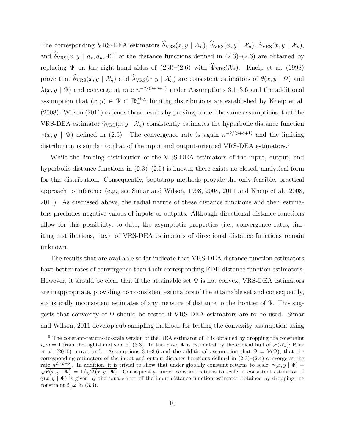The corresponding VRS-DEA estimators  $\widehat{\theta}_{VRS}(x, y | \mathcal{X}_n)$ ,  $\widehat{\lambda}_{VRS}(x, y | \mathcal{X}_n)$ ,  $\widehat{\gamma}_{VRS}(x, y | \mathcal{X}_n)$ , and  $\hat{\delta}_{VRS}(x, y \mid d_x, d_y, \mathcal{X}_n)$  of the distance functions defined in  $(2.3)$ – $(2.6)$  are obtained by replacing  $\Psi$  on the right-hand sides of  $(2.3)-(2.6)$  with  $\widehat{\Psi}_{VRS}(\mathcal{X}_n)$ . Kneip et al. (1998) prove that  $\widehat{\theta}_{VRS}(x, y | \mathcal{X}_n)$  and  $\widehat{\lambda}_{VRS}(x, y | \mathcal{X}_n)$  are consistent estimators of  $\theta(x, y | \Psi)$  and  $\lambda(x, y | \Psi)$  and converge at rate  $n^{-2/(p+q+1)}$  under Assumptions 3.1–3.6 and the additional assumption that  $(x, y) \in \Psi \subset \mathbb{R}^{p+q}$ ; limiting distributions are established by Kneip et al. (2008). Wilson (2011) extends these results by proving, under the same assumptions, that the VRS-DEA estimator  $\hat{\gamma}_{VRS}(x, y | \mathcal{X}_n)$  consistently estimates the hyperbolic distance function  $\gamma(x, y \mid \Psi)$  defined in (2.5). The convergence rate is again  $n^{-2/(p+q+1)}$  and the limiting distribution is similar to that of the input and output-oriented VRS-DEA estimators.<sup>5</sup>

While the limiting distribution of the VRS-DEA estimators of the input, output, and hyperbolic distance functions in  $(2.3)$ – $(2.5)$  is known, there exists no closed, analytical form for this distribution. Consequently, bootstrap methods provide the only feasible, practical approach to inference (e.g., see Simar and Wilson, 1998, 2008, 2011 and Kneip et al., 2008, 2011). As discussed above, the radial nature of these distance functions and their estimators precludes negative values of inputs or outputs. Although directional distance functions allow for this possibility, to date, the asymptotic properties (i.e., convergence rates, limiting distributions, etc.) of VRS-DEA estimators of directional distance functions remain unknown.

The results that are available so far indicate that VRS-DEA distance function estimators have better rates of convergence than their corresponding FDH distance function estimators. However, it should be clear that if the attainable set  $\Psi$  is not convex, VRS-DEA estimators are inappropriate, providing non consistent estimators of the attainable set and consequently, statistically inconsistent estimates of any measure of distance to the frontier of Ψ. This suggests that convexity of Ψ should be tested if VRS-DEA estimators are to be used. Simar and Wilson, 2011 develop sub-sampling methods for testing the convexity assumption using

<sup>&</sup>lt;sup>5</sup> The constant-returns-to-scale version of the DEA estimator of  $\Psi$  is obtained by dropping the constraint  $i_n\omega = 1$  from the right-hand side of (3.3). In this case, Ψ is estimated by the conical hull of  $\mathcal{F}(\mathcal{X}_n)$ ; Park et al. (2010) prove, under Assumptions 3.1–3.6 and the additional assumption that  $\Psi = \mathcal{V}(\Psi)$ , that the corresponding estimators of the input and output distance functions defined in  $(2.3)$ – $(2.4)$  converge at the rate  $n^{2/(p+q)}$ . In addition, it is trivial to show that under globally constant returns to scale,  $\gamma(x, y | \Psi)$  $\sqrt{\theta(x,y|\Psi)} = 1/\sqrt{\lambda(x,y|\Psi)}$ . Consequently, under constant returns to scale, a consistent estimator of  $\gamma(x, y | \Psi)$  is given by the square root of the input distance function estimator obtained by dropping the constraint  $i'_n \omega$  in (3.3).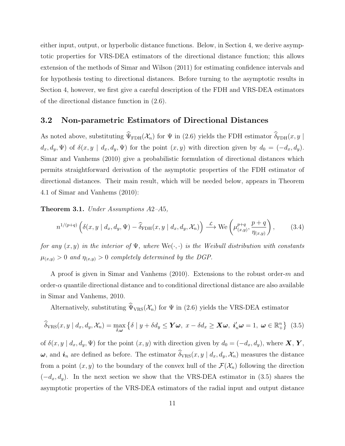either input, output, or hyperbolic distance functions. Below, in Section 4, we derive asymptotic properties for VRS-DEA estimators of the directional distance function; this allows extension of the methods of Simar and Wilson (2011) for estimating confidence intervals and for hypothesis testing to directional distances. Before turning to the asymptotic results in Section 4, however, we first give a careful description of the FDH and VRS-DEA estimators of the directional distance function in (2.6).

#### **3.2 Non-parametric Estimators of Directional Distances**

As noted above, substituting  $\widehat{\Psi}_{FDH}(\mathcal{X}_n)$  for  $\Psi$  in (2.6) yields the FDH estimator  $\widehat{\delta}_{FDH}(x, y)$  $d_x, d_y, \Psi$  of  $\delta(x, y \mid d_x, d_y, \Psi)$  for the point  $(x, y)$  with direction given by  $d_0 = (-d_x, d_y)$ . Simar and Vanhems (2010) give a probabilistic formulation of directional distances which permits straightforward derivation of the asymptotic properties of the FDH estimator of directional distances. Their main result, which will be needed below, appears in Theorem 4.1 of Simar and Vanhems (2010):

**Theorem 3.1.** *Under Assumptions A*2*–A*5*,*

$$
n^{1/(p+q)}\left(\delta(x,y\mid d_x,d_y,\Psi)-\widehat{\delta}_{\text{FDH}}(x,y\mid d_x,d_y,\mathcal{X}_n)\right)\stackrel{\mathcal{L}}{\longrightarrow}\text{We}\left(\mu_{(x,y)}^{p+q},\frac{p+q}{\eta_{(x,y)}}\right),\tag{3.4}
$$

*for any*  $(x, y)$  *in the interior of*  $\Psi$ *, where*  $\text{We}(\cdot, \cdot)$  *is the Weibull distribution with constants*  $\mu_{(x,y)} > 0$  *and*  $\eta_{(x,y)} > 0$  *completely determined by the DGP.* 

A proof is given in Simar and Vanhems (2010). Extensions to the robust order-*m* and order- $\alpha$  quantile directional distance and to conditional directional distance are also available in Simar and Vanhems, 2010.

Alternatively, substituting  $\hat{\Psi}_{VRS}(\mathcal{X}_n)$  for  $\Psi$  in (2.6) yields the VRS-DEA estimator

$$
\widehat{\delta}_{\mathrm{VRS}}(x, y \mid d_x, d_y, \mathcal{X}_n) = \max_{\delta, \omega} \left\{ \delta \mid y + \delta d_y \le \mathbf{Y} \omega, \ x - \delta d_x \ge \mathbf{X} \omega, \ i'_n \omega = 1, \ \omega \in \mathbb{R}_+^n \right\} \tag{3.5}
$$

of  $\delta(x, y | d_x, d_y, \Psi)$  for the point  $(x, y)$  with direction given by  $d_0 = (-d_x, d_y)$ , where **X**, **Y**,  $\omega$ , and  $\boldsymbol{i}_n$  are defined as before. The estimator  $\widehat{\delta}_{VRS}(x, y | d_x, d_y, \mathcal{X}_n)$  measures the distance from a point  $(x, y)$  to the boundary of the convex hull of the  $\mathcal{F}(\mathcal{X}_n)$  following the direction (*−dx, dy*). In the next section we show that the VRS-DEA estimator in (3.5) shares the asymptotic properties of the VRS-DEA estimators of the radial input and output distance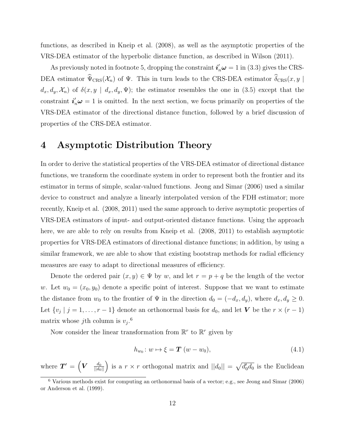functions, as described in Kneip et al. (2008), as well as the asymptotic properties of the VRS-DEA estimator of the hyperbolic distance function, as described in Wilson (2011).

As previously noted in footnote 5, dropping the constraint  $\mathbf{i}'_n \boldsymbol{\omega} = 1$  in (3.3) gives the CRS-DEA estimator  $\widehat{\Psi}_{CRS}(\mathcal{X}_n)$  of  $\Psi$ . This in turn leads to the CRS-DEA estimator  $\widehat{\delta}_{CRS}(x, y)$  $d_x, d_y, \mathcal{X}_n$  of  $\delta(x, y \mid d_x, d_y, \Psi)$ ; the estimator resembles the one in (3.5) except that the constraint  $i'_n \omega = 1$  is omitted. In the next section, we focus primarily on properties of the VRS-DEA estimator of the directional distance function, followed by a brief discussion of properties of the CRS-DEA estimator.

### **4 Asymptotic Distribution Theory**

In order to derive the statistical properties of the VRS-DEA estimator of directional distance functions, we transform the coordinate system in order to represent both the frontier and its estimator in terms of simple, scalar-valued functions. Jeong and Simar (2006) used a similar device to construct and analyze a linearly interpolated version of the FDH estimator; more recently, Kneip et al. (2008, 2011) used the same approach to derive asymptotic properties of VRS-DEA estimators of input- and output-oriented distance functions. Using the approach here, we are able to rely on results from Kneip et al. (2008, 2011) to establish asymptotic properties for VRS-DEA estimators of directional distance functions; in addition, by using a similar framework, we are able to show that existing bootstrap methods for radial efficiency measures are easy to adapt to directional measures of efficiency.

Denote the ordered pair  $(x, y) \in \Psi$  by *w*, and let  $r = p + q$  be the length of the vector *w*. Let  $w_0 = (x_0, y_0)$  denote a specific point of interest. Suppose that we want to estimate the distance from  $w_0$  to the frontier of  $\Psi$  in the direction  $d_0 = (-d_x, d_y)$ , where  $d_x, d_y \ge 0$ . Let  $\{v_j \mid j = 1, \ldots, r - 1\}$  denote an orthonormal basis for  $d_0$ , and let *V* be the  $r \times (r - 1)$ matrix whose *j*th column is  $v_j$ <sup>6</sup>

Now consider the linear transformation from  $\mathbb{R}^r$  to  $\mathbb{R}^r$  given by

$$
h_{w_0}: w \mapsto \xi = \mathbf{T}(w - w_0), \tag{4.1}
$$

where  $T' = \begin{pmatrix} V & \frac{d_0}{||d_0||} \end{pmatrix}$  is a  $r \times r$  orthogonal matrix and  $||d_0|| = \sqrt{d'_0 d_0}$  is the Euclidean

 $6$  Various methods exist for computing an orthonormal basis of a vector; e.g., see Jeong and Simar (2006) or Anderson et al. (1999).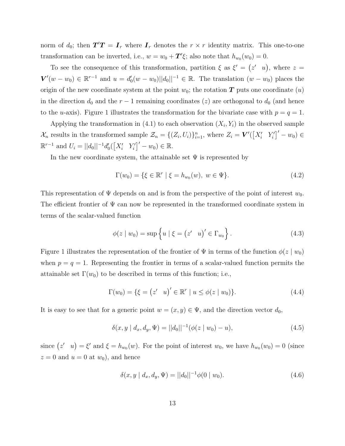norm of  $d_0$ ; then  $T'T = I_r$  where  $I_r$  denotes the  $r \times r$  identity matrix. This one-to-one transformation can be inverted, i.e.,  $w = w_0 + T' \xi$ ; also note that  $h_{w_0}(w_0) = 0$ .

To see the consequence of this transformation, partition  $\xi$  as  $\xi' = (z' \ u)$ , where  $z =$  $V'(w-w_0) \in \mathbb{R}^{r-1}$  and  $u = d'_0(w-w_0)||d_0||^{-1} \in \mathbb{R}$ . The translation  $(w-w_0)$  places the origin of the new coordinate system at the point  $w_0$ ; the rotation  $T$  puts one coordinate  $(u)$ in the direction  $d_0$  and the  $r-1$  remaining coordinates (*z*) are orthogonal to  $d_0$  (and hence to the *u*-axis). Figure 1 illustrates the transformation for the bivariate case with  $p = q = 1$ .

Applying the transformation in  $(4.1)$  to each observation  $(X_i, Y_i)$  in the observed sample  $\mathcal{X}_n$  results in the transformed sample  $\mathcal{Z}_n = \{(Z_i, U_i)\}_{i=1}^n$ , where  $Z_i = \mathbf{V}'([\overline{X'_i} \ \ Y'_i] - w_0) \in$  $\mathbb{R}^{r-1}$  and  $U_i = ||d_0||^{-1}d'_0(\left[X'_i \ Y'_i\right]'-w_0) \in \mathbb{R}.$ 

In the new coordinate system, the attainable set  $\Psi$  is represented by

$$
\Gamma(w_0) = \{ \xi \in \mathbb{R}^r \mid \xi = h_{w_0}(w), \ w \in \Psi \}. \tag{4.2}
$$

This representation of Ψ depends on and is from the perspective of the point of interest *w*0. The efficient frontier of  $\Psi$  can now be represented in the transformed coordinate system in terms of the scalar-valued function

$$
\phi(z \mid w_0) = \sup \left\{ u \mid \xi = (z' \quad u)' \in \Gamma_{w_0} \right\}.
$$
\n(4.3)

Figure 1 illustrates the representation of the frontier of  $\Psi$  in terms of the function  $\phi(z \mid w_0)$ when  $p = q = 1$ . Representing the frontier in terms of a scalar-valued function permits the attainable set  $\Gamma(w_0)$  to be described in terms of this function; i.e.,

$$
\Gamma(w_0) = \{ \xi = (z' \quad u)' \in \mathbb{R}^r \mid u \le \phi(z \mid w_0) \}. \tag{4.4}
$$

It is easy to see that for a generic point  $w = (x, y) \in \Psi$ , and the direction vector  $d_0$ ,

$$
\delta(x, y \mid d_x, d_y, \Psi) = ||d_0||^{-1} (\phi(z \mid w_0) - u), \tag{4.5}
$$

since  $(z' \mid u) = \xi'$  and  $\xi = h_{w_0}(w)$ . For the point of interest  $w_0$ , we have  $h_{w_0}(w_0) = 0$  (since  $z = 0$  and  $u = 0$  at  $w_0$ ), and hence

$$
\delta(x, y \mid d_x, d_y, \Psi) = ||d_0||^{-1} \phi(0 \mid w_0).
$$
\n(4.6)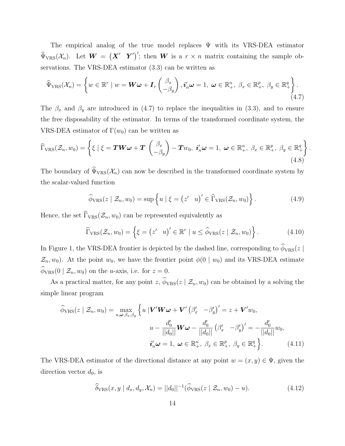The empirical analog of the true model replaces  $\Psi$  with its VRS-DEA estimator  $\widehat{\Psi}_{VRS}(\mathcal{X}_n)$ . Let  $\boldsymbol{W} = (\boldsymbol{X}' \ \ \boldsymbol{Y}')'$ ; then  $\boldsymbol{W}$  is a  $r \times n$  matrix containing the sample observations. The VRS-DEA estimator (3.3) can be written as

$$
\widehat{\Psi}_{\text{VRS}}(\mathcal{X}_n) = \left\{ w \in \mathbb{R}^r \mid w = \boldsymbol{W}\boldsymbol{\omega} + \boldsymbol{I}_r \begin{pmatrix} \beta_x \\ -\beta_y \end{pmatrix}, \boldsymbol{i}'_n \boldsymbol{\omega} = 1, \ \boldsymbol{\omega} \in \mathbb{R}^n_+, \ \beta_x \in \mathbb{R}^p_+, \ \beta_y \in \mathbb{R}^q_+ \right\}.
$$
\n(4.7)

The  $\beta_x$  and  $\beta_y$  are introduced in (4.7) to replace the inequalities in (3.3), and to ensure the free disposability of the estimator. In terms of the transformed coordinate system, the VRS-DEA estimator of  $\Gamma(w_0)$  can be written as

$$
\widehat{\Gamma}_{\text{VRS}}(\mathcal{Z}_n, w_0) = \left\{ \xi \mid \xi = \boldsymbol{T} \boldsymbol{W} \boldsymbol{\omega} + \boldsymbol{T} \begin{pmatrix} \beta_x \\ -\beta_y \end{pmatrix} - \boldsymbol{T} w_0, \ \boldsymbol{i}_n' \boldsymbol{\omega} = 1, \ \boldsymbol{\omega} \in \mathbb{R}_+^n, \ \beta_x \in \mathbb{R}_+^p, \ \beta_y \in \mathbb{R}_+^q \right\}
$$
\n(4.8)

The boundary of  $\widehat{\Psi}_{VRS}(\mathcal{X}_n)$  can now be described in the transformed coordinate system by the scalar-valued function

$$
\widehat{\phi}_{\text{VRS}}(z \mid \mathcal{Z}_n, w_0) = \sup \left\{ u \mid \xi = (z' \mid u)' \in \widehat{\Gamma}_{\text{VRS}}(\mathcal{Z}_n, w_0) \right\}.
$$
\n(4.9)

*.*

Hence, the set  $\widehat{\Gamma}_{VRS}(\mathcal{Z}_n, w_0)$  can be represented equivalently as

$$
\widehat{\Gamma}_{\mathrm{VRS}}(\mathcal{Z}_n, w_0) = \left\{ \xi = \begin{pmatrix} z' & u \end{pmatrix}' \in \mathbb{R}^r \mid u \leq \widehat{\phi}_{\mathrm{VRS}}(z \mid \mathcal{Z}_n, w_0) \right\}.
$$
\n(4.10)

In Figure 1, the VRS-DEA frontier is depicted by the dashed line, corresponding to  $\widehat{\phi}_{VRS}(z)$  $\mathcal{Z}_n$ , *w*<sub>0</sub>). At the point *w*<sub>0</sub>, we have the frontier point  $\phi(0 | w_0)$  and its VRS-DEA estimate  $\widehat{\phi}_{VRS}(0 \mid \mathcal{Z}_n, w_0)$  on the *u*-axis, i.e. for  $z = 0$ .

As a practical matter, for any point *z*,  $\hat{\phi}_{VRS}(z | \mathcal{Z}_n, w_0)$  can be obtained by a solving the simple linear program

$$
\widehat{\phi}_{\text{VRS}}(z \mid \mathcal{Z}_n, w_0) = \max_{u, \omega, \beta_x, \beta_y} \left\{ u \mid \mathbf{V}' \mathbf{W} \boldsymbol{\omega} + \mathbf{V}' \left( \beta_x' - \beta_y' \right)' = z + \mathbf{V}' w_0, \right\}
$$
\n
$$
u - \frac{d_0'}{||d_0||} \mathbf{W} \boldsymbol{\omega} - \frac{d_0'}{||d_0||} \left( \beta_x' - \beta_y' \right)' = -\frac{d_0'}{||d_0||} w_0,
$$
\n
$$
\boldsymbol{i}_n' \boldsymbol{\omega} = 1, \ \boldsymbol{\omega} \in \mathbb{R}_+^n, \ \beta_x \in \mathbb{R}_+^p, \ \beta_y \in \mathbb{R}_+^q \right\}.
$$
\n(4.11)

The VRS-DEA estimator of the directional distance at any point  $w = (x, y) \in \Psi$ , given the direction vector  $d_0$ , is

$$
\widehat{\delta}_{\mathrm{VRS}}(x, y \mid d_x, d_y, \mathcal{X}_n) = ||d_0||^{-1} (\widehat{\phi}_{\mathrm{VRS}}(z \mid \mathcal{Z}_n, w_0) - u). \tag{4.12}
$$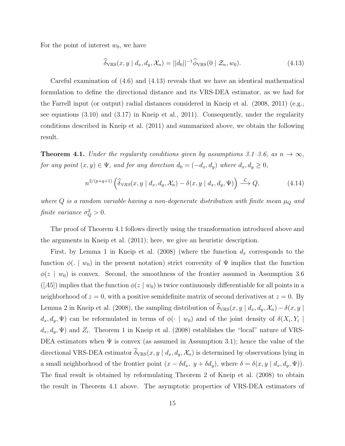For the point of interest  $w_0$ , we have

$$
\widehat{\delta}_{\mathrm{VRS}}(x, y \mid d_x, d_y, \mathcal{X}_n) = ||d_0||^{-1} \widehat{\phi}_{\mathrm{VRS}}(0 \mid \mathcal{Z}_n, w_0). \tag{4.13}
$$

Careful examination of (4.6) and (4.13) reveals that we have an identical mathematical formulation to define the directional distance and its VRS-DEA estimator, as we had for the Farrell input (or output) radial distances considered in Kneip et al. (2008, 2011) (e.g., see equations (3.10) and (3.17) in Kneip et al., 2011). Consequently, under the regularity conditions described in Kneip et al. (2011) and summarized above, we obtain the following result.

**Theorem 4.1.** *Under the regularity conditions given by assumptions*  $3.1-3.6$ , as  $n \rightarrow \infty$ , *for any point*  $(x, y) \in \Psi$ *, and for any direction*  $d_0 = (-d_x, d_y)$  *where*  $d_x, d_y \ge 0$ *,* 

$$
n^{2/(p+q+1)}\left(\widehat{\delta}_{VRS}(x, y \mid d_x, d_y, \mathcal{X}_n) - \delta(x, y \mid d_x, d_y, \Psi)\right) \xrightarrow{\mathcal{L}} Q,\tag{4.14}
$$

*where*  $Q$  *is a random variable having a non-degenerate distribution with finite mean*  $\mu_Q$  *and finite variance*  $\sigma_Q^2 > 0$ .

The proof of Theorem 4.1 follows directly using the transformation introduced above and the arguments in Kneip et al. (2011); here, we give an heuristic description.

First, by Lemma 1 in Kneip et al. (2008) (where the function *d<sup>x</sup>* corresponds to the function  $\phi(.) \mid w_0$  in the present notation) strict convexity of  $\Psi$  implies that the function  $\phi(z \mid w_0)$  is convex. Second, the smoothness of the frontier assumed in Assumption 3.6  $([A5])$  implies that the function  $\phi(z \mid w_0)$  is twice continuously differentiable for all points in a neighborhood of  $z = 0$ , with a positive semidefinite matrix of second derivatives at  $z = 0$ . By Lemma 2 in Kneip et al. (2008), the sampling distribution of  $\hat{\delta}_{VRS}(x, y | d_x, d_y, \mathcal{X}_n) - \delta(x, y | d_y)$  $d_x, d_y, \Psi$  can be reformulated in terms of  $\phi(\cdot \mid w_0)$  and of the joint density of  $\delta(X_i, Y_i \mid w_0)$  $d_x, d_y, \Psi$  and  $Z_i$ . Theorem 1 in Kneip et al. (2008) establishes the "local" nature of VRS-DEA estimators when  $\Psi$  is convex (as assumed in Assumption 3.1); hence the value of the directional VRS-DEA estimator  $\widehat{\delta}_{VRS}(x, y | d_x, d_y, \mathcal{X}_n)$  is determined by observations lying in a small neighborhood of the frontier point  $(x - \delta d_x, y + \delta d_y)$ , where  $\delta = \delta(x, y | d_x, d_y, \Psi)$ . The final result is obtained by reformulating Theorem 2 of Kneip et al. (2008) to obtain the result in Theorem 4.1 above. The asymptotic properties of VRS-DEA estimators of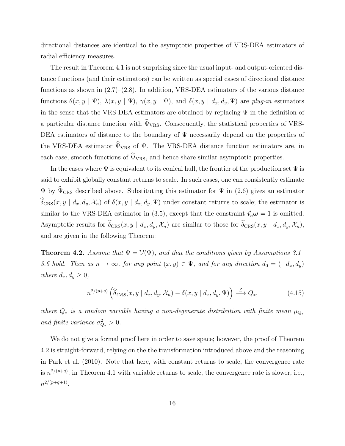directional distances are identical to the asymptotic properties of VRS-DEA estimators of radial efficiency measures.

The result in Theorem 4.1 is not surprising since the usual input- and output-oriented distance functions (and their estimators) can be written as special cases of directional distance functions as shown in  $(2.7)$ – $(2.8)$ . In addition, VRS-DEA estimators of the various distance functions  $\theta(x, y | \Psi)$ ,  $\lambda(x, y | \Psi)$ ,  $\gamma(x, y | \Psi)$ , and  $\delta(x, y | d_x, d_y, \Psi)$  are *plug-in* estimators in the sense that the VRS-DEA estimators are obtained by replacing  $\Psi$  in the definition of a particular distance function with  $\hat{\Psi}_{VRS}$ . Consequently, the statistical properties of VRS-DEA estimators of distance to the boundary of  $\Psi$  necessarily depend on the properties of the VRS-DEA estimator  $\widehat{\Psi}_{VRS}$  of  $\Psi$ . The VRS-DEA distance function estimators are, in each case, smooth functions of  $\widehat{\Psi}_{VRS}$ , and hence share similar asymptotic properties.

In the cases where  $\Psi$  is equivalent to its conical hull, the frontier of the production set  $\Psi$  is said to exhibit globally constant returns to scale. In such cases, one can consistently estimate  $\Psi$  by  $\widehat{\Psi}_{CRS}$  described above. Substituting this estimator for  $\Psi$  in (2.6) gives an estimator  $\widehat{\delta}_{CRS}(x, y | d_x, d_y, \mathcal{X}_n)$  of  $\delta(x, y | d_x, d_y, \Psi)$  under constant returns to scale; the estimator is similar to the VRS-DEA estimator in (3.5), except that the constraint  $\mathbf{i}'_n \boldsymbol{\omega} = 1$  is omitted. Asymptotic results for  $\widehat{\delta}_{CRS}(x, y \mid d_x, d_y, \mathcal{X}_n)$  are similar to those for  $\widehat{\delta}_{CRS}(x, y \mid d_x, d_y, \mathcal{X}_n)$ . and are given in the following Theorem:

**Theorem 4.2.** *Assume that*  $\Psi = \mathcal{V}(\Psi)$ *, and that the conditions given by Assumptions* 3.1– *3.6 hold.* Then as  $n \to \infty$ , for any point  $(x, y) \in \Psi$ , and for any direction  $d_0 = (-d_x, d_y)$ *where*  $d_x, d_y \geq 0$ *,* 

$$
n^{2/(p+q)}\left(\widehat{\delta}_{CRS}(x,y\mid d_x,d_y,\mathcal{X}_n)-\delta(x,y\mid d_x,d_y,\Psi)\right)\stackrel{\mathcal{L}}{\longrightarrow} Q_*,\tag{4.15}
$$

*where*  $Q_*$  *is a random variable having a non-degenerate distribution with finite mean*  $\mu_{Q_*}$ *and finite variance*  $\sigma_{Q_*}^2 > 0$ *.* 

We do not give a formal proof here in order to save space; however, the proof of Theorem 4.2 is straight-forward, relying on the the transformation introduced above and the reasoning in Park et al. (2010). Note that here, with constant returns to scale, the convergence rate is  $n^{2/(p+q)}$ ; in Theorem 4.1 with variable returns to scale, the convergence rate is slower, i.e.,  $n^{2/(p+q+1)}$ .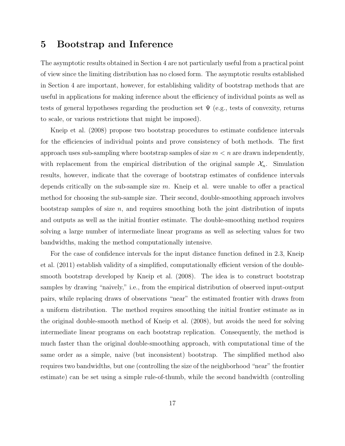### **5 Bootstrap and Inference**

The asymptotic results obtained in Section 4 are not particularly useful from a practical point of view since the limiting distribution has no closed form. The asymptotic results established in Section 4 are important, however, for establishing validity of bootstrap methods that are useful in applications for making inference about the efficiency of individual points as well as tests of general hypotheses regarding the production set  $\Psi$  (e.g., tests of convexity, returns to scale, or various restrictions that might be imposed).

Kneip et al. (2008) propose two bootstrap procedures to estimate confidence intervals for the efficiencies of individual points and prove consistency of both methods. The first approach uses sub-sampling where bootstrap samples of size *m < n* are drawn independently, with replacement from the empirical distribution of the original sample  $\mathcal{X}_n$ . Simulation results, however, indicate that the coverage of bootstrap estimates of confidence intervals depends critically on the sub-sample size *m*. Kneip et al. were unable to offer a practical method for choosing the sub-sample size. Their second, double-smoothing approach involves bootstrap samples of size *n*, and requires smoothing both the joint distribution of inputs and outputs as well as the initial frontier estimate. The double-smoothing method requires solving a large number of intermediate linear programs as well as selecting values for two bandwidths, making the method computationally intensive.

For the case of confidence intervals for the input distance function defined in 2.3, Kneip et al. (2011) establish validity of a simplified, computationally efficient version of the doublesmooth bootstrap developed by Kneip et al. (2008). The idea is to construct bootstrap samples by drawing "naively," i.e., from the empirical distribution of observed input-output pairs, while replacing draws of observations "near" the estimated frontier with draws from a uniform distribution. The method requires smoothing the initial frontier estimate as in the original double-smooth method of Kneip et al. (2008), but avoids the need for solving intermediate linear programs on each bootstrap replication. Consequently, the method is much faster than the original double-smoothing approach, with computational time of the same order as a simple, naive (but inconsistent) bootstrap. The simplified method also requires two bandwidths, but one (controlling the size of the neighborhood "near" the frontier estimate) can be set using a simple rule-of-thumb, while the second bandwidth (controlling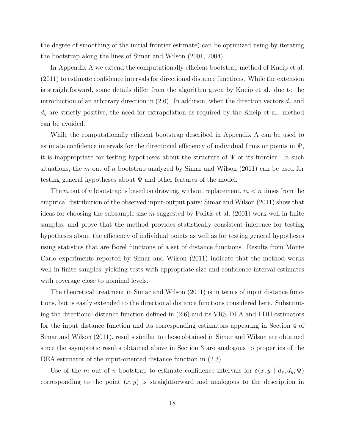the degree of smoothing of the initial frontier estimate) can be optimized using by iterating the bootstrap along the lines of Simar and Wilson (2001, 2004).

In Appendix A we extend the computationally efficient bootstrap method of Kneip et al. (2011) to estimate confidence intervals for directional distance functions. While the extension is straightforward, some details differ from the algorithm given by Kneip et al. due to the introduction of an arbitrary direction in  $(2.6)$ . In addition, when the direction vectors  $d_x$  and *d<sup>y</sup>* are strictly positive, the need for extrapolation as required by the Kneip et al. method can be avoided.

While the computationally efficient bootstrap described in Appendix A can be used to estimate confidence intervals for the directional efficiency of individual firms or points in  $\Psi$ , it is inappropriate for testing hypotheses about the structure of  $\Psi$  or its frontier. In such situations, the *m* out of *n* bootstrap analyzed by Simar and Wilson (2011) can be used for testing general hypotheses about  $\Psi$  and other features of the model.

The *m* out of *n* bootstrap is based on drawing, without replacement, *m < n* times from the empirical distribution of the observed input-output pairs; Simar and Wilson (2011) show that ideas for choosing the subsample size *m* suggested by Politis et al. (2001) work well in finite samples, and prove that the method provides statistically consistent inference for testing hypotheses about the efficiency of individual points as well as for testing general hypotheses using statistics that are Borel functions of a set of distance functions. Results from Monte Carlo experiments reported by Simar and Wilson (2011) indicate that the method works well in finite samples, yielding tests with appropriate size and confidence interval estimates with coverage close to nominal levels.

The theoretical treatment in Simar and Wilson (2011) is in terms of input distance functions, but is easily extended to the directional distance functions considered here. Substituting the directional distance function defined in (2.6) and its VRS-DEA and FDH estimators for the input distance function and its corresponding estimators appearing in Section 4 of Simar and Wilson (2011), results similar to those obtained in Simar and Wilson are obtained since the asymptotic results obtained above in Section 3 are analogous to properties of the DEA estimator of the input-oriented distance function in  $(2.3)$ .

Use of the *m* out of *n* bootstrap to estimate confidence intervals for  $\delta(x, y | d_x, d_y, \Psi)$ corresponding to the point  $(x, y)$  is straightforward and analogous to the description in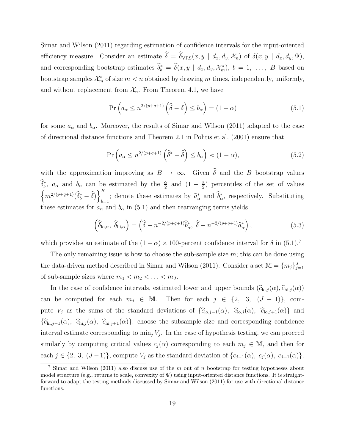Simar and Wilson (2011) regarding estimation of confidence intervals for the input-oriented efficiency measure. Consider an estimate  $\hat{\delta} = \hat{\delta}_{VRS}(x, y \mid d_x, d_y, \mathcal{X}_n)$  of  $\delta(x, y \mid d_x, d_y, \Psi)$ , and corresponding bootstrap estimates  $\delta_b^* = \delta(x, y | d_x, d_y, \mathcal{X}_m^*)$ ,  $b = 1, \ldots, B$  based on bootstrap samples  $\mathcal{X}_m^*$  of size  $m < n$  obtained by drawing  $m$  times, independently, uniformly, and without replacement from  $\mathcal{X}_n$ . From Theorem 4.1, we have

$$
\Pr\left(a_{\alpha} \le n^{2/(p+q+1)}\left(\widehat{\delta} - \delta\right) \le b_{\alpha}\right) = (1 - \alpha) \tag{5.1}
$$

for some  $a_{\alpha}$  and  $b_{\alpha}$ . Moreover, the results of Simar and Wilson (2011) adapted to the case of directional distance functions and Theorem 2.1 in Politis et al. (2001) ensure that

$$
\Pr\left(a_{\alpha} \le n^{2/(p+q+1)}\left(\widehat{\delta}^* - \widehat{\delta}\right) \le b_{\alpha}\right) \approx (1-\alpha),\tag{5.2}
$$

with the approximation improving as  $B \to \infty$ . Given  $\hat{\delta}$  and the *B* bootstrap values  $\widehat{\delta}_b^*$ , *a*<sub>*α*</sub> and *b*<sub>*a*</sub> can be estimated by the  $\frac{\alpha}{2}$  and  $(1 - \frac{\alpha}{2})$  $\frac{\alpha}{2}$ ) percentiles of the set of values  $\left\{ m^{2/(p+q+1)}(\widehat{\delta}_{b}^{*}-\widehat{\delta})\right\} _{b}^{B}$  $b=1$ ; denote these estimates by  $\hat{a}^*_{\alpha}$  and  $b^*_{\alpha}$ , respectively. Substituting these estimates for  $a_{\alpha}$  and  $b_{\alpha}$  in (5.1) and then rearranging terms yields

$$
\left(\widehat{\delta}_{\mathrm{lo},\alpha},\ \widehat{\delta}_{\mathrm{hi},\alpha}\right) = \left(\widehat{\delta} - n^{-2/(p+q+1)}\widehat{b}_{\alpha}^*,\ \widehat{\delta} - n^{-2/(p+q+1)}\widehat{a}_{\alpha}^*\right),\tag{5.3}
$$

which provides an estimate of the  $(1 - \alpha) \times 100$ -percent confidence interval for  $\delta$  in  $(5.1)$ .<sup>7</sup>

The only remaining issue is how to choose the sub-sample size *m*; this can be done using the data-driven method described in Simar and Wilson (2011). Consider a set  $\mathbb{M} = \{m_j\}_{j=1}^J$ of sub-sample sizes where  $m_1 < m_2 < \ldots < m_J$ .

In the case of confidence intervals, estimated lower and upper bounds  $(\widehat{c}_{\text{lo},j}(\alpha), \widehat{c}_{\text{hi},j}(\alpha))$ can be computed for each  $m_j \in M$ . Then for each  $j \in \{2, 3, (J - 1)\}$ , compute *V<sub>j</sub>* as the sums of the standard deviations of  $\{\hat{c}_{\text{lo},j-1}(\alpha), \ \hat{c}_{\text{lo},j}(\alpha), \ \hat{c}_{\text{lo},j+1}(\alpha)\}\$ and  ${\hat{c}_{\text{hi},j-1}(\alpha)}$ ,  $\hat{c}_{\text{hi},j}(\alpha)$ ,  $\hat{c}_{\text{hi},j+1}(\alpha)$ ; choose the subsample size and corresponding confidence interval estimate corresponding to  $\min_j V_j$ . In the case of hypothesis testing, we can proceed similarly by computing critical values  $c_i(\alpha)$  corresponding to each  $m_i \in \mathbb{M}$ , and then for each  $j \in \{2, 3, (J-1)\}\$ , compute  $V_j$  as the standard deviation of  $\{c_{j-1}(\alpha), c_j(\alpha), c_{j+1}(\alpha)\}\$ .

<sup>7</sup> Simar and Wilson (2011) also discuss use of the *m* out of *n* bootstrap for testing hypotheses about model structure (e.g., returns to scale, convexity of  $\Psi$ ) using input-oriented distance functions. It is straightforward to adapt the testing methods discussed by Simar and Wilson (2011) for use with directional distance functions.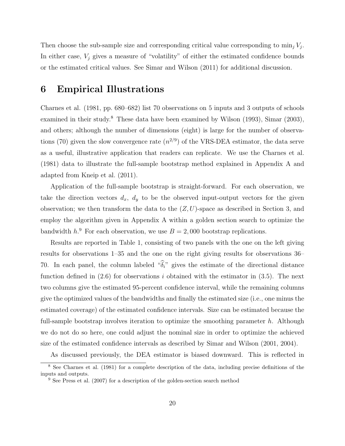Then choose the sub-sample size and corresponding critical value corresponding to  $\min_j V_j$ . In either case,  $V_i$  gives a measure of "volatility" of either the estimated confidence bounds or the estimated critical values. See Simar and Wilson (2011) for additional discussion.

### **6 Empirical Illustrations**

Charnes et al. (1981, pp. 680–682) list 70 observations on 5 inputs and 3 outputs of schools examined in their study.<sup>8</sup> These data have been examined by Wilson (1993), Simar (2003), and others; although the number of dimensions (eight) is large for the number of observations (70) given the slow convergence rate  $(n^{2/9})$  of the VRS-DEA estimator, the data serve as a useful, illustrative application that readers can replicate. We use the Charnes et al. (1981) data to illustrate the full-sample bootstrap method explained in Appendix A and adapted from Kneip et al. (2011).

Application of the full-sample bootstrap is straight-forward. For each observation, we take the direction vectors  $d_x$ ,  $d_y$  to be the observed input-output vectors for the given observation; we then transform the data to the (*Z, U*)-space as described in Section 3, and employ the algorithm given in Appendix A within a golden section search to optimize the bandwidth  $h^9$ . For each observation, we use  $B = 2,000$  bootstrap replications.

Results are reported in Table 1, consisting of two panels with the one on the left giving results for observations 1–35 and the one on the right giving results for observations 36– 70. In each panel, the column labeled " $\hat{\delta}_i$ " gives the estimate of the directional distance function defined in (2.6) for observations *i* obtained with the estimator in (3.5). The next two columns give the estimated 95-percent confidence interval, while the remaining columns give the optimized values of the bandwidths and finally the estimated size (i.e., one minus the estimated coverage) of the estimated confidence intervals. Size can be estimated because the full-sample bootstrap involves iteration to optimize the smoothing parameter *h*. Although we do not do so here, one could adjust the nominal size in order to optimize the achieved size of the estimated confidence intervals as described by Simar and Wilson (2001, 2004).

As discussed previously, the DEA estimator is biased downward. This is reflected in

<sup>8</sup> See Charnes et al. (1981) for a complete description of the data, including precise definitions of the inputs and outputs.

<sup>&</sup>lt;sup>9</sup> See Press et al. (2007) for a description of the golden-section search method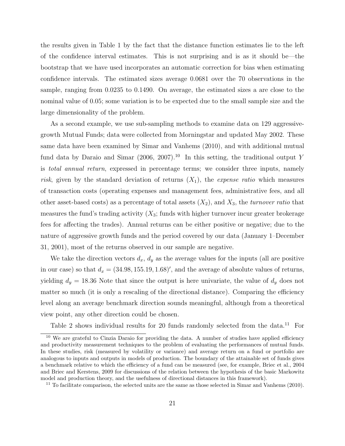the results given in Table 1 by the fact that the distance function estimates lie to the left of the confidence interval estimates. This is not surprising and is as it should be—the bootstrap that we have used incorporates an automatic correction for bias when estimating confidence intervals. The estimated sizes average 0.0681 over the 70 observations in the sample, ranging from 0.0235 to 0.1490. On average, the estimated sizes a are close to the nominal value of 0.05; some variation is to be expected due to the small sample size and the large dimensionality of the problem.

As a second example, we use sub-sampling methods to examine data on 129 aggressivegrowth Mutual Funds; data were collected from Morningstar and updated May 2002. These same data have been examined by Simar and Vanhems (2010), and with additional mutual fund data by Daraio and Simar (2006, 2007).<sup>10</sup> In this setting, the traditional output *Y* is *total annual return*, expressed in percentage terms; we consider three inputs, namely *risk*, given by the standard deviation of returns (*X*1), the *expense ratio* which measures of transaction costs (operating expenses and management fees, administrative fees, and all other asset-based costs) as a percentage of total assets (*X*2), and *X*3, the *turnover ratio* that measures the fund's trading activity  $(X_3;$  funds with higher turnover incur greater brokerage fees for affecting the trades). Annual returns can be either positive or negative; due to the nature of aggressive growth funds and the period covered by our data (January 1–December 31, 2001), most of the returns observed in our sample are negative.

We take the direction vectors  $d_x$ ,  $d_y$  as the average values for the inputs (all are positive in our case) so that  $d_x = (34.98, 155.19, 1.68)$ <sup>'</sup>, and the average of absolute values of returns, yielding  $d_y = 18.36$  Note that since the output is here univariate, the value of  $d_y$  does not matter so much (it is only a rescaling of the directional distance). Comparing the efficiency level along an average benchmark direction sounds meaningful, although from a theoretical view point, any other direction could be chosen.

Table 2 shows individual results for 20 funds randomly selected from the data.<sup>11</sup> For

<sup>&</sup>lt;sup>10</sup> We are grateful to Cinzia Daraio for providing the data. A number of studies have applied efficiency and productivity measurement techniques to the problem of evaluating the performances of mutual funds. In these studies, risk (measured by volatility or variance) and average return on a fund or portfolio are analogous to inputs and outputs in models of production. The boundary of the attainable set of funds gives a benchmark relative to which the efficiency of a fund can be measured (see, for example, Briec et al., 2004 and Briec and Kerstens, 2009 for discussions of the relation between the hypothesis of the basic Markowitz model and production theory, and the usefulness of directional distances in this framework).

 $11$  To facilitate comparison, the selected units are the same as those selected in Simar and Vanhems (2010).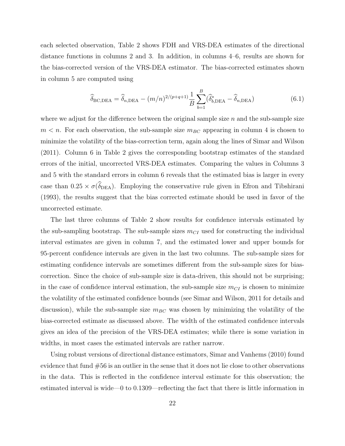each selected observation, Table 2 shows FDH and VRS-DEA estimates of the directional distance functions in columns 2 and 3. In addition, in columns 4–6, results are shown for the bias-corrected version of the VRS-DEA estimator. The bias-corrected estimates shown in column 5 are computed using

$$
\widehat{\delta}_{\text{BC,DEA}} = \widehat{\delta}_{n,\text{DEA}} - (m/n)^{2/(p+q+1)} \frac{1}{B} \sum_{b=1}^{B} (\widehat{\delta}_{b,\text{DEA}}^* - \widehat{\delta}_{n,\text{DEA}})
$$
(6.1)

where we adjust for the difference between the original sample size *n* and the sub-sample size  $m < n$ . For each observation, the sub-sample size  $m_{BC}$  appearing in column 4 is chosen to minimize the volatility of the bias-correction term, again along the lines of Simar and Wilson (2011). Column 6 in Table 2 gives the corresponding bootstrap estimates of the standard errors of the initial, uncorrected VRS-DEA estimates. Comparing the values in Columns 3 and 5 with the standard errors in column 6 reveals that the estimated bias is larger in every case than  $0.25 \times \sigma(\widehat{\delta}_{DEA})$ . Employing the conservative rule given in Efron and Tibshirani (1993), the results suggest that the bias corrected estimate should be used in favor of the uncorrected estimate.

The last three columns of Table 2 show results for confidence intervals estimated by the sub-sampling bootstrap. The sub-sample sizes *mCI* used for constructing the individual interval estimates are given in column 7, and the estimated lower and upper bounds for 95-percent confidence intervals are given in the last two columns. The sub-sample sizes for estimating confidence intervals are sometimes different from the sub-sample sizes for biascorrection. Since the choice of sub-sample size is data-driven, this should not be surprising; in the case of confidence interval estimation, the sub-sample size  $m_{CI}$  is chosen to minimize the volatility of the estimated confidence bounds (see Simar and Wilson, 2011 for details and discussion), while the sub-sample size  $m_{BC}$  was chosen by minimizing the volatility of the bias-corrected estimate as discussed above. The width of the estimated confidence intervals gives an idea of the precision of the VRS-DEA estimates; while there is some variation in widths, in most cases the estimated intervals are rather narrow.

Using robust versions of directional distance estimators, Simar and Vanhems (2010) found evidence that fund #56 is an outlier in the sense that it does not lie close to other observations in the data. This is reflected in the confidence interval estimate for this observation; the estimated interval is wide—0 to 0.1309—reflecting the fact that there is little information in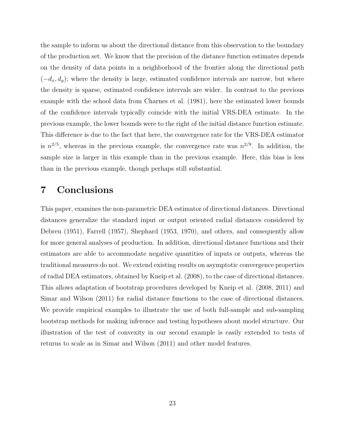the sample to inform us about the directional distance from this observation to the boundary of the production set. We know that the precision of the distance function estimates depends on the density of data points in a neighborhood of the frontier along the directional path (*−dx, dy*); where the density is large, estimated confidence intervals are narrow, but where the density is sparse, estimated confidence intervals are wider. In contrast to the previous example with the school data from Charnes et al. (1981), here the estimated lower bounds of the confidence intervals typically coincide with the initial VRS-DEA estimate. In the previous example, the lower bounds were to the right of the initial distance function estimate. This difference is due to the fact that here, the convergence rate for the VRS-DEA estimator is  $n^{2/5}$ , whereas in the previous example, the convergence rate was  $n^{2/9}$ . In addition, the sample size is larger in this example than in the previous example. Here, this bias is less than in the previous example, though perhaps still substantial.

### **7 Conclusions**

This paper, examines the non-parametric DEA estimator of directional distances. Directional distances generalize the standard input or output oriented radial distances considered by Debreu (1951), Farrell (1957), Shephard (1953, 1970), and others, and consequently allow for more general analyses of production. In addition, directional distance functions and their estimators are able to accommodate negative quantities of inputs or outputs, whereas the traditional measures do not. We extend existing results on asymptotic convergence properties of radial DEA estimators, obtained by Kneip et al. (2008), to the case of directional distances. This allows adaptation of bootstrap procedures developed by Kneip et al. (2008, 2011) and Simar and Wilson (2011) for radial distance functions to the case of directional distances. We provide empirical examples to illustrate the use of both full-sample and sub-sampling bootstrap methods for making inference and testing hypotheses about model structure. Our illustration of the test of convexity in our second example is easily extended to tests of returns to scale as in Simar and Wilson (2011) and other model features.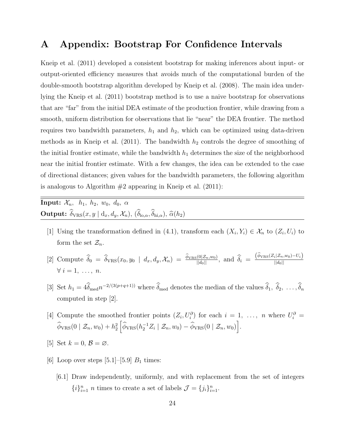### **A Appendix: Bootstrap For Confidence Intervals**

Kneip et al. (2011) developed a consistent bootstrap for making inferences about input- or output-oriented efficiency measures that avoids much of the computational burden of the double-smooth bootstrap algorithm developed by Kneip et al. (2008). The main idea underlying the Kneip et al. (2011) bootstrap method is to use a naive bootstrap for observations that are "far" from the initial DEA estimate of the production frontier, while drawing from a smooth, uniform distribution for observations that lie "near" the DEA frontier. The method requires two bandwidth parameters,  $h_1$  and  $h_2$ , which can be optimized using data-driven methods as in Kneip et al.  $(2011)$ . The bandwidth  $h_2$  controls the degree of smoothing of the initial frontier estimate, while the bandwidth  $h_1$  determines the size of the neighborhood near the initial frontier estimate. With a few changes, the idea can be extended to the case of directional distances; given values for the bandwidth parameters, the following algorithm is analogous to Algorithm  $#2$  appearing in Kneip et al.  $(2011)$ :

**Input:**  $\mathcal{X}_n$ ,  $h_1$ ,  $h_2$ ,  $w_0$ ,  $d_0$ ,  $\alpha$ **Output:**  $\widehat{\delta}_{VRS}(x, y | d_x, d_y, \mathcal{X}_n)$ ,  $(\widehat{\delta}_{\mathrm{lo}, \alpha}, \widehat{\delta}_{\mathrm{hi}, \alpha})$ ,  $\widehat{\alpha}(h_2)$ 

- [1] Using the transformation defined in (4.1), transform each  $(X_i, Y_i) \in \mathcal{X}_n$  to  $(Z_i, U_i)$  to form the set  $\mathcal{Z}_n$ .
- [2] Compute  $\widehat{\delta}_0 = \widehat{\delta}_{VRS}(x_0, y_0 \mid d_x, d_y, \mathcal{X}_n) = \frac{\widehat{\phi}_{VRS}(0|\mathcal{Z}_n, w_0)}{||d_0||},$  and  $\widehat{\delta}_i = \frac{(\widehat{\phi}_{VRS}(Z_i|\mathcal{Z}_n, w_0) U_i)}{||d_0||}$  $||d_0||$  $\forall i = 1, \ldots, n.$
- [3] Set  $h_1 = 4\delta_{\text{med}}n^{-2/(3(p+q+1))}$  where  $\delta_{\text{med}}$  denotes the median of the values  $\delta_1, \delta_2, \ldots, \delta_n$ computed in step [2].
- [4] Compute the smoothed frontier points  $(Z_i, U_i^{\partial})$  for each  $i = 1, \ldots, n$  where  $U_i^{\partial}$  $\widehat{\phi}_{\text{VRS}}(0 \mid \mathcal{Z}_n, w_0) + h_2^2$  $\left[\widehat{\phi}_{VRS}(h_2^{-1}Z_i \mid \mathcal{Z}_n, w_0) - \widehat{\phi}_{VRS}(0 \mid \mathcal{Z}_n, w_0)\right].$
- [5] Set  $k = 0$ ,  $\mathcal{B} = \emptyset$ .
- [6] Loop over steps  $[5.1]$ – $[5.9]$   $B_1$  times:
	- [6.1] Draw independently, uniformly, and with replacement from the set of integers  ${i}$ <sup>*n*</sup><sub>*i*=1</sub></sub> *n* times to create a set of labels  $\mathcal{J} = \{j_i\}_{i=1}^n$ .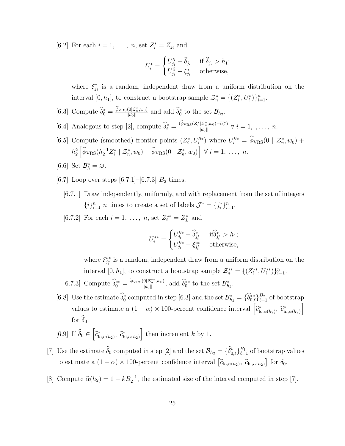[6.2] For each  $i = 1, \ldots, n$ , set  $Z_i^* = Z_{j_i}$  and

$$
U_i^* = \begin{cases} U_{j_i}^\partial - \widehat{\delta}_{j_i} & \text{ if } \widehat{\delta}_{j_i} > h_1; \\ U_{j_i}^\partial - \xi_{j_i}^* & \text{ otherwise}, \end{cases}
$$

where  $\xi_{j_i}^*$  is a random, independent draw from a uniform distribution on the interval  $[0, h_1]$ , to construct a bootstrap sample  $\mathcal{Z}_n^* = \{(Z_i^*, U_i^*)\}_{i=1}^n$ .

- [6.3] Compute  $\widehat{\delta}_0^* = \frac{\phi_{\text{VRS}}(0|\mathcal{Z}_n^*, w_0)}{||d_0||}$  and add  $\widehat{\delta}_0^*$  to the set  $\mathcal{B}_{h_2}$ .
- [6.4] Analogous to step [2], compute  $\widehat{\delta}_i^* = \frac{(\phi_{\text{VRS}}(Z_i^* | Z_n^*, w_0) U_i^*)}{||d_0||} \ \forall \ i = 1, \dots, n.$
- [6.5] Compute (smoothed) frontier points  $(Z_i^*, U_i^{\partial*})$  where  $U_i^{\partial*} = \phi_{VRS}(0 | Z_n^*, w_0) +$  $h_2^2$  $\left[\hat{\phi}_{VRS}(h_2^{-1}Z_i^* \mid \mathcal{Z}_n^*, w_0) - \hat{\phi}_{VRS}(0 \mid \mathcal{Z}_n^*, w_0)\right] \ \forall \ i = 1, \ldots, n.$
- [6.6] Set  $\mathcal{B}_h^* = \emptyset$ .
- [6.7] Loop over steps  $[6.7.1]$ – $[6.7.3]$   $B_2$  times:
	- [6.7.1] Draw independently, uniformly, and with replacement from the set of integers  ${i}$ <sup>*}*</sup><sup>*n*</sup><sub>*i*=1</sub></sub> *n* times to create a set of labels  $\mathcal{J}^* = \{j_i^*\}_{i=1}^n$ .
	- [6.7.2] For each  $i = 1, \ldots, n$ , set  $Z_i^{**} = Z_{j_i}^*$  and

$$
U_i^{**} = \begin{cases} U_{j_i}^{\partial *} - \widehat{\delta}_{j_i^*}^* & \text{if } \widehat{\delta}_{j_i^*}^* > h_1; \\ U_{j_i}^{\partial *} - \xi_{j_i^*}^{**} & \text{otherwise,} \end{cases}
$$

where  $\xi_{j_i^*}^{**}$  is a random, independent draw from a uniform distribution on the interval  $[0, h_1]$ , to construct a bootstrap sample  $\mathcal{Z}_n^{**} = \{(Z_i^{**}, U_i^{**})\}_{i=1}^n$ .

- 6.7.3] Compute  $\widehat{\delta}_0^{**} = \frac{\phi_{\text{VRS}}(0|\mathcal{Z}_n^{**}, w_0)}{||d_0||}$ ; add  $\widehat{\delta}_0^{**}$  to the set  $\mathcal{B}_{h_2}^*$ .
- [6.8] Use the estimate  $\widehat{\delta}_0^*$  computed in step [6.3] and the set  $\mathcal{B}_{h_2}^* = \{\widehat{\delta}_{0,\ell}^{**}\}_{\ell=1}^{B_2}$  of bootstrap values to estimate a  $(1 - \alpha) \times 100$ -percent confidence interval  $\left[ \hat{c}_{\text{lo}, \alpha(h_2)}^* , \hat{c}_{\text{hi}, \alpha(h_2)}^* \right]$ ] for  $\widehat{\delta}_0$ .

[6.9] If 
$$
\hat{\delta}_0 \in \left[\hat{c}_{\text{lo}, \alpha(h_2)}^*, \hat{c}_{\text{hi}, \alpha(h_2)}^*\right]
$$
 then increment k by 1.

- [7] Use the estimate  $\widehat{\delta}_0$  computed in step [2] and the set  $\mathcal{B}_{h_2} = {\{\widehat{\delta}_{0,\ell}^*\}_{\ell=1}^{B_1}}$  of bootstrap values to estimate a  $(1 - \alpha) \times 100$ -percent confidence interval  $[\hat{c}_{\text{lo}, \alpha(h_2)}, \hat{c}_{\text{hi}, \alpha(h_2)}]$  for  $\delta_0$ .
- [8] Compute  $\hat{\alpha}(h_2) = 1 kB_2^{-1}$ , the estimated size of the interval computed in step [7].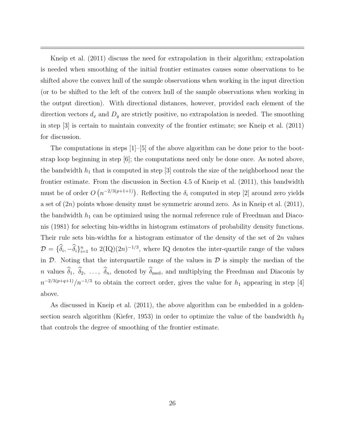Kneip et al. (2011) discuss the need for extrapolation in their algorithm; extrapolation is needed when smoothing of the initial frontier estimates causes some observations to be shifted above the convex hull of the sample observations when working in the input direction (or to be shifted to the left of the convex hull of the sample observations when working in the output direction). With directional distances, however, provided each element of the direction vectors  $d_x$  and  $D_y$  are strictly positive, no extrapolation is needed. The smoothing in step [3] is certain to maintain convexity of the frontier estimate; see Kneip et al. (2011) for discussion.

The computations in steps [1]–[5] of the above algorithm can be done prior to the bootstrap loop beginning in step [6]; the computations need only be done once. As noted above, the bandwidth  $h_1$  that is computed in step  $[3]$  controls the size of the neighborhood near the frontier estimate. From the discussion in Section 4.5 of Kneip et al. (2011), this bandwidth must be of order  $O(n^{-2/3(p+1+1)})$ . Reflecting the  $\delta_i$  computed in step [2] around zero yields a set of (2*n*) points whose density must be symmetric around zero. As in Kneip et al. (2011), the bandwidth  $h_1$  can be optimized using the normal reference rule of Freedman and Diaconis (1981) for selecting bin-widths in histogram estimators of probability density functions. Their rule sets bin-widths for a histogram estimator of the density of the set of 2*n* values  $\mathcal{D} = {\delta_i, -\delta_i}_{i=1}^n$  to 2(IQ)(2*n*)<sup>-1/3</sup>, where IQ denotes the inter-quartile range of the values in  $D$ . Noting that the interquartile range of the values in  $D$  is simply the median of the *n* values  $\hat{\delta}_1$ ,  $\hat{\delta}_2$ , ...,  $\hat{\delta}_n$ , denoted by  $\hat{\delta}_{\text{med}}$ , and multiplying the Freedman and Diaconis by  $n^{-2/3(p+q+1)}/n^{-1/3}$  to obtain the correct order, gives the value for *h*<sub>1</sub> appearing in step [4] above.

As discussed in Kneip et al. (2011), the above algorithm can be embedded in a goldensection search algorithm (Kiefer, 1953) in order to optimize the value of the bandwidth  $h_2$ that controls the degree of smoothing of the frontier estimate.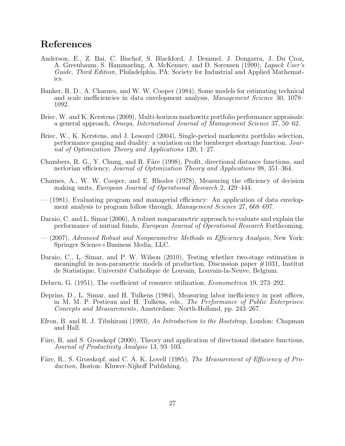### **References**

- Anderson, E., Z. Bai, C. Bischof, S. Blackford, J. Demmel, J. Dongarra, J. Du Croz, A. Greenbaum, S. Hammarling, A. McKenney, and D. Sorensen (1999), *Lapack User's Guide, Third Edition*, Philadelphia, PA: Society for Industrial and Applied Mathematics.
- Banker, R. D., A. Charnes, and W. W. Cooper (1984), Some models for estimating technical and scale inefficiencies in data envelopment analysis, *Management Science* 30, 1078– 1092.
- Briec, W. and K. Kerstens (2009), Multi-horizon markowitz portfolio performance appraisals: a general approach, *Omega, International Journal of Management Science* 37, 50–62.
- Briec, W., K. Kerstens, and J. Lesourd (2004), Single-period markowitz portfolio selection, performance gauging and duality: a variation on the luenberger shortage function, *Journal of Optimization Theory and Applications* 120, 1–27.
- Chambers, R. G., Y. Chung, and R. Färe (1998), Profit, directional distance functions, and nerlovian efficiency, *Journal of Optimization Theory and Applications* 98, 351–364.
- Charnes, A., W. W. Cooper, and E. Rhodes (1978), Measuring the efficiency of decision making units, *European Journal of Operational Research* 2, 429–444.
- (1981), Evaluating program and managerial efficiency: An application of data envelopment analysis to program follow through, *Management Science* 27, 668–697.
- Daraio, C. and L. Simar (2006), A robust nonparametric approach to evaluate and explain the performance of mutual funds, *European Journal of Operational Research* Forthcoming.
- (2007), *Advanced Robust and Nonparametric Methods in Efficiency Analysis*, New York: Springer Science+Business Media, LLC.
- Daraio, C., L. Simar, and P. W. Wilson (2010), Testing whether two-stage estimation is meaningful in non-parametric models of production. Discussion paper #1031, Institut de Statistique, Universit´e Catholique de Louvain, Louvain-la-Neuve, Belgium.
- Debreu, G. (1951), The coefficient of resource utilization, *Econometrica* 19, 273–292.
- Deprins, D., L. Simar, and H. Tulkens (1984), Measuring labor inefficiency in post offices, in M. M. P. Pestieau and H. Tulkens, eds., *The Performance of Public Enterprises: Concepts and Measurements*, Amsterdam: North-Holland, pp. 243–267.
- Efron, B. and R. J. Tibshirani (1993), *An Introduction to the Bootstrap*, London: Chapman and Hall.
- Färe, R. and S. Grosskopf (2000), Theory and application of directional distance functions, *Journal of Productivity Analysis* 13, 93–103.
- Färe, R., S. Grosskopf, and C. A. K. Lovell (1985), *The Measurement of Efficiency of Production*, Boston: Kluwer-Nijhoff Publishing.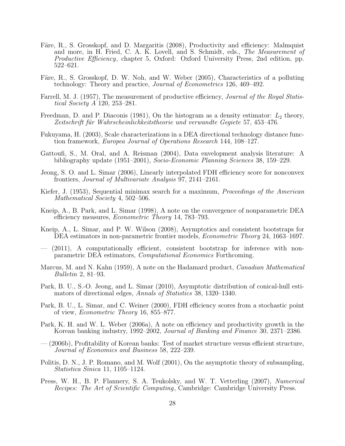- Färe, R., S. Grosskopf, and D. Margaritis (2008), Productivity and efficiency: Malmquist and more, in H. Fried, C. A. K. Lovell, and S. Schmidt, eds., *The Measurement of Productive Efficiency*, chapter 5, Oxford: Oxford University Press, 2nd edition, pp. 522–621.
- Färe, R., S. Grosskopf, D. W. Noh, and W. Weber (2005), Characteristics of a polluting technology: Theory and practice, *Journal of Econometrics* 126, 469–492.
- Farrell, M. J. (1957), The measurement of productive efficiency, *Journal of the Royal Statistical Society A* 120, 253–281.
- Freedman, D. and P. Diaconis (1981), On the histogram as a density estimator: *L*<sup>2</sup> theory, *Zeitschrift f¨ur Wahrscheinlichkeitstheorie und verwandte Gegiete* 57, 453–476.
- Fukuyama, H. (2003), Scale characterizations in a DEA directional technology distance function framework, *Europea Journal of Operations Research* 144, 108–127.
- Gattoufi, S., M. Oral, and A. Reisman (2004), Data envelopment analysis literature: A bibliography update (1951–2001), *Socio-Economic Planning Sciences* 38, 159–229.
- Jeong, S. O. and L. Simar (2006), Linearly interpolated FDH efficiency score for nonconvex frontiers, *Journal of Multivariate Analysis* 97, 2141–2161.
- Kiefer, J. (1953), Sequential minimax search for a maximum, *Proceedings of the American Mathematical Society* 4, 502–506.
- Kneip, A., B. Park, and L. Simar (1998), A note on the convergence of nonparametric DEA efficiency measures, *Econometric Theory* 14, 783–793.
- Kneip, A., L. Simar, and P. W. Wilson (2008), Asymptotics and consistent bootstraps for DEA estimators in non-parametric frontier models, *Econometric Theory* 24, 1663–1697.
- (2011), A computationally efficient, consistent bootstrap for inference with nonparametric DEA estimators, *Computational Economics* Forthcoming.
- Marcus, M. and N. Kahn (1959), A note on the Hadamard product, *Canadian Mathematical Bulletin* 2, 81–93.
- Park, B. U., S.-O. Jeong, and L. Simar (2010), Asymptotic distribution of conical-hull estimators of directional edges, *Annals of Statistics* 38, 1320–1340.
- Park, B. U., L. Simar, and C. Weiner (2000), FDH efficiency scores from a stochastic point of view, *Econometric Theory* 16, 855–877.
- Park, K. H. and W. L. Weber (2006a), A note on efficiency and productivity growth in the Korean banking industry, 1992–2002, *Journal of Banking and Finance* 30, 2371–2386.
- (2006b), Profitability of Korean banks: Test of market structure versus efficient structure, *Journal of Economics and Business* 58, 222–239.
- Politis, D. N., J. P. Romano, and M. Wolf (2001), On the asymptotic theory of subsampling, *Statistica Sinica* 11, 1105–1124.
- Press, W. H., B. P. Flannery, S. A. Teukolsky, and W. T. Vetterling (2007), *Numerical Recipes: The Art of Scientific Computing*, Cambridge: Cambridge University Press.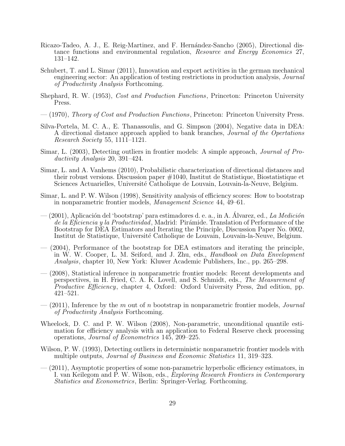- Ricazo-Tadeo, A. J., E. Reig-Martinez, and F. Hernández-Sancho (2005), Directional distance functions and environmental regulation, *Resource and Energy Economics* 27, 131–142.
- Schubert, T. and L. Simar (2011), Innovation and export activities in the german mechanical engineering sector: An application of testing restrictions in production analysis, *Journal of Productivity Analysis* Forthcoming.
- Shephard, R. W. (1953), *Cost and Production Functions*, Princeton: Princeton University Press.
- (1970), *Theory of Cost and Production Functions*, Princeton: Princeton University Press.
- Silva-Portela, M. C. A., E. Thanassoulis, and G. Simpson (2004), Negative data in DEA: A directional distance approach applied to bank branches, *Journal of the Opertations Research Society* 55, 1111–1121.
- Simar, L. (2003), Detecting outliers in frontier models: A simple approach, *Journal of Productivity Analysis* 20, 391–424.
- Simar, L. and A. Vanhems (2010), Probabilistic characterization of directional distances and their robust versions. Discussion paper #1040, Institut de Statistique, Biostatistique et Sciences Actuarielles, Université Catholique de Louvain, Louvain-la-Neuve, Belgium.
- Simar, L. and P. W. Wilson (1998), Sensitivity analysis of efficiency scores: How to bootstrap in nonparametric frontier models, *Management Science* 44, 49–61.
- (2001), Aplicaci´on del 'bootstrap' para estimadores d. e. a., in A. Alvarez, ed., ´ *La Medici´on* de la Eficiencia y la Productividad, Madrid: Pirámide. Translation of Performance of the Bootstrap for DEA Estimators and Iterating the Principle, Discussion Paper No. 0002, Institut de Statistique, Université Catholique de Louvain, Louvain-la-Neuve, Belgium.
- (2004), Performance of the bootstrap for DEA estimators and iterating the principle, in W. W. Cooper, L. M. Seiford, and J. Zhu, eds., *Handbook on Data Envelopment Analysis*, chapter 10, New York: Kluwer Academic Publishers, Inc., pp. 265–298.
- (2008), Statistical inference in nonparametric frontier models: Recent developments and perspectives, in H. Fried, C. A. K. Lovell, and S. Schmidt, eds., *The Measurement of Productive Efficiency*, chapter 4, Oxford: Oxford University Press, 2nd edition, pp. 421–521.
- (2011), Inference by the *m* out of *n* bootstrap in nonparametric frontier models, *Journal of Productivity Analysis* Forthcoming.
- Wheelock, D. C. and P. W. Wilson (2008), Non-parametric, unconditional quantile estimation for efficiency analysis with an application to Federal Reserve check processing operations, *Journal of Econometrics* 145, 209–225.
- Wilson, P. W. (1993), Detecting outliers in deterministic nonparametric frontier models with multiple outputs, *Journal of Business and Economic Statistics* 11, 319–323.
- (2011), Asymptotic properties of some non-parametric hyperbolic efficiency estimators, in I. van Keilegom and P. W. Wilson, eds., *Exploring Research Frontiers in Contemporary Statistics and Econometrics*, Berlin: Springer-Verlag. Forthcoming.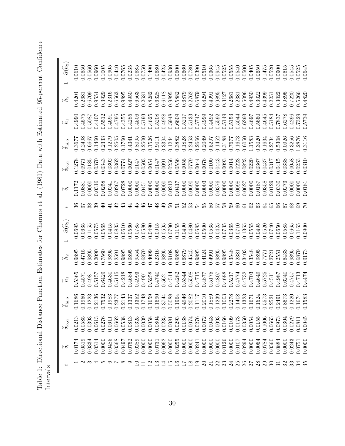Table 1: Directional Distance Function Estimates for Charnes et al. (1981) Data with Estimated 95-percent Confidence Table 1: Directional Distance Function Estimates for Charnes et al. (1981) Data with Estimated 95-percent Confidence<br>Intervals

| $\dot{\phantom{0}}$ | $\widehat{\delta}_i$ | $\hat{\delta}_{{\bf l}\circ,\alpha}$ |                  | $\widehat{h}_1$ | $\widehat{h}_2$ | $\hat{\alpha}(\hat{h}_2)$ |                | $\widetilde{\delta}_i$ | $\hat{\delta}_{{\bf l}\circ,\,\alpha}$ |        |        | $\widehat{h}_2$ | $-\, \widehat{\alpha} \big( \widehat{h}_2 \big)$ |
|---------------------|----------------------|--------------------------------------|------------------|-----------------|-----------------|---------------------------|----------------|------------------------|----------------------------------------|--------|--------|-----------------|--------------------------------------------------|
|                     | 0.017                | 0.0213                               | 0.1686           | 0.5365          | 0.9895          | 0.0695                    |                | 0.117                  | 0.1278                                 | 0.367  | 0.4990 | 0.4204          | 0.0610                                           |
|                     | 0.051                | 0.0585                               | 0.1950           | 0.4571          | 0.4715          |                           |                | 0.0881                 | 0.0971                                 | 0.2498 | 0.4575 | 0.2681          |                                                  |
|                     | 0.0334               | 0.0393                               | 0.1223           | 0.4981          | 0.9895          | 0.1155                    |                | 0.0000                 | 0.0185                                 | 0.6667 | 0.5087 | 0.6709          | 0.0560                                           |
|                     | 0.0514               | 0.0613                               |                  | 0.5157          | 0.2090          | 0.0575                    | 39             | 0.0316                 | 0.0370                                 | 0.1460 | 0.4407 | 0.9554          | 0.0960                                           |
| r.                  | 0.0000               | 0.0276                               | 0.2136<br>0.7532 | 0.6429          | 0.7560          | 0.0565                    | ⊕              | 0.0258                 | 0.0343                                 | 0.2333 | 0.5512 | 0.3929          | 0.1005                                           |
| ಲ                   | 0.0485               | 0.0611                               | 0.1983           | 0.4630          | 0.9895          | 0.0415                    | 급              | 0.0241                 | 0.0302                                 | 0.1279 | 0.4691 | 0.2316          | 0.0905                                           |
| $\sim \infty$       | 0.0568               | 0.0662                               | 0.2377           | 0.5115          | 0.2591          | 0.0835                    | 42             | 0.0267                 | 0.0362                                 | 0.2505 | 0.4795 | 0.6563          | 0.0440                                           |
|                     | 0.0497               | 0.0538                               | 0.2143           | 0.4218          | 0.9895          | 0.0610                    | $\mathfrak{z}$ | 0.0728                 | 0.0774                                 | 0.1760 | 0.4355 | 0.9895          | 0.0765                                           |
|                     | 0.0752               | 0.0813                               | 0.1337           | 0.4684          | 0.9895          | 0.0560                    | 4              | 0.0000                 | 0.0027                                 | 0.4341 | 0.4285 | 0.4950          | 0.0235                                           |
| $\subseteq$         | 0.0289               | 0.0325                               | 0.1352           | 0.4993          | 0.9554          | 0.0785                    | $\ddot{r}$     | 0.0000                 | 0.0147                                 | 0.8095 | 0.4506 | 0.6563          | 0.0685                                           |
|                     | 0.0000               | 0.0039                               | 0.1748           | 0.4901          | 0.6879          | 0.0580                    | $\frac{6}{5}$  | 0.0451                 | 0.0503                                 | 0.2500 | 0.5193 | 0.2681          | 0.0750                                           |
| $\mathbf{C}$        | 0.0000               | 0.0058                               | 0.1659           | 0.5258          | 0.4099          | 0.0490                    | $\ddot{P}$     | 0.0000                 | 0.0054                                 | 0.1526 | 0.4625 | 0.8282          | 0.1490                                           |
| $\mathbb{C}$        | 0.0731               | 0.0804                               |                  | 0.4740          | 0.2316          | 0.0915                    | $\frac{8}{3}$  | 0.0000                 | 0.0147                                 | 0.9011 | 0.5208 | 0.6328          | 0.0680                                           |
| ⊒                   | 0.0062               | 0.0235                               | 0.1690<br>0.3744 | 0.5621          | 0.9895          | 0.0595                    | $\overline{9}$ | 0.0000                 | 0.0091                                 | 0.3394 | 0.4928 | 0.6118          | 0.0425                                           |
| $\vec{E}$           | 0.0000               | 0.0081                               | 0.5088           | 0.4514          | 0.9108          | 0.0790                    | $50^{\circ}$   | 0.0212                 | 0.0256                                 | 0.1244 | 0.5948 | 0.9895          | 0.0930                                           |
| $\frac{6}{1}$       | 0.0255               | 0.0293                               | 0.1964           | 0.4282          | 0.9895          | 0.1155                    | 12             | 0.0417                 | 0.0556                                 | 0.3882 | 0.6609 | 0.5882          | 0.0600                                           |
| $\overline{1}$      | 0.0000               | 0.0138                               | 0.4946           | 0.5344          | 0.6879          | 0.0490                    | 52             | 0.0000                 | 0.0055                                 | 0.1828 | 0.5217 | 0.6879          | 0.0660                                           |
| $\frac{8}{10}$      | 0.0000               | 0.0074                               | 0.2082           | 0.5598          | 0.4545          | 0.0480                    | 53             | 0.0690                 | 0.0779                                 | 0.2453 | 0.5133 | 0.2762          | 0.0780                                           |
| $\frac{6}{1}$       | 0.0241               | 0.0276                               | 0.1117           | 0.4715          | 0.9895          | 0.0685                    | 54             | 0.0000                 | 0.0044                                 | 0.2666 | 0.5747 | 0.6879          | 0.0390                                           |
| $\Omega$            | 0.0000               | 0.0072                               | 0.2010           | 0.4877          | 0.4124          | 0.0500                    | 55             | 0.0003                 | 0.0076                                 | 0.2049 | 0.4999 | 0.4294          | 0.0510                                           |
| $\overline{\Omega}$ | 0.0000               | 0.0043                               | 0.1889           | 0.5175          | 0.4991          | 0.0535                    | 56             | 0.0000                 | 0.0100                                 | 0.5297 | 0.4492 | 0.4991          | 0.0365                                           |
| 22                  | 0.0000               | 0.0093                               | 0.1239           | 0.4807          | 0.9895          | 0.0425                    | 57             | 0.0376                 | 0.0443                                 | 0.1452 | 0.5592 | 0.9895          | 0.0945                                           |
| 23                  | 0.0126               | 0.0166                               | 0.1003           | 0.4688          | 0.9895          | 0.0735                    | 58             | 0.0000                 | 0.0093                                 | 0.3188 | 0.5149 | 0.3127          | 0.0525                                           |
| $\mathcal{Z}^4$     | 0.0000               | 0.0109                               | 0.2278           | 0.5217          | 0.3548          | 0.0365                    | 59             | 0.0000                 | 0.0014                                 | 0.7677 | 0.5153 | 0.2681          | 0.0555                                           |
| 25                  | 0.0107               | 0.0173                               | 0.1408           | 0.4774          | 0.2381          | 0.0710                    | $\odot$        | 0.0098                 | 0.0223                                 | 0.1673 | 0.5044 | 0.2381          | 0.0540                                           |
| 26                  | 0.0294               | 0.0350                               | 0.1323           | 0.4732          | 0.3403          | 0.1365                    | $\overline{6}$ | 0.0627                 | 0.0823                                 | 0.6050 | 0.6293 | 0.5096          | 0.0500                                           |
| $\overline{5}$      | 0.0000               | 0.0054                               | 0.1671           | 0.4703          | 0.3548          | 0.0555                    | 62             | 0.0000                 | 0.0220                                 | 1.1583 | 0.4697 | 0.4950          | 0.0405                                           |
| $^{28}$             | 0.0054               | 0.0155                               | 0.1524           | 0.4649          | 0.9895          | 0.0495                    | සි             | 0.0187                 | 0.0367                                 | 0.3020 | 0.5650 | 0.3022          | 0.0650                                           |
| 29                  | 0.0784               | 0.1006                               | 0.5573           | 0.5725          | 0.7771          | 0.0520                    | S,             | 0.0358                 | 0.0437                                 | 0.1634 | 0.4645 | 0.4399          | 0.1475                                           |
| $\mathcal{S}$       | 0.0560               | 0.0665                               | 0.2521           | 0.4511          | 0.2721          | 0.0740                    | 89             | 0.0129                 | 0.0317                                 | 0.2734 | 0.5184 | 0.2251          | 0.0520                                           |
| ವ                   | 0.0884               | 0.0973                               | 0.2491           | 0.4987          | 0.2551          | 0.0650                    | $\Im$          | 0.0330                 | 0.0415                                 | 0.5308 | 0.7837 | 0.3022          | 0.0900                                           |
| 32                  | 0.0000               | 0.0304                               | 0.8673           | 0.6240          | 0.6433          | 0.0585                    | 7              | 0.0273                 | 0.0338                                 | 0.0926 | 0.6278 | 0.9895          | 0.0615                                           |
| ೫                   | 0.0243               | 0.0279                               | 0.1220           | 0.4757          | 0.9895          | 0.0665                    | $8^{\circ}$    | 0.0000                 | 0.0058                                 | 0.3256 | 0.4296 | 0.7220          | 0.0545                                           |
| నె                  | 0.0751               | 0.081                                | 1.1674           | 0.4713          | 0.6879          | 0.1165                    | 69             | 0.0000                 | 0.0253                                 | 1.2876 | 0.7329 | 0.5266          | 0.0525                                           |
| 35                  | 0.0000               | 0.0045                               | 1.1583           | 0.4474          | 0.9173          | 0.0900                    | $\overline{C}$ | 0.0181                 | 0.0310                                 | 0.3116 | 0.5739 | 0.4820          | 0.0645                                           |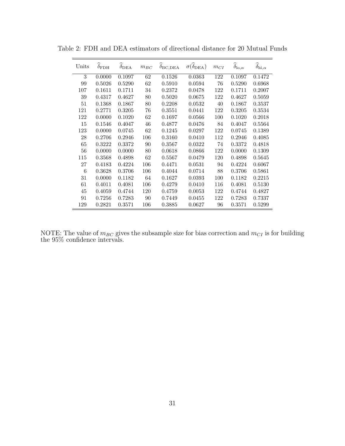| Units | $\widehat{\delta}_{\rm FDH}$ | $\widehat{\delta}_{\text{DEA}}$ | $m_{\cal B C}$ | $\delta_{\rm BC,DEA}$ | $\sigma(\widehat{\delta}_{\text{DEA}})$ | $m_{CI}$ | $\widehat{\delta}_{\textnormal{lo},\alpha}$ | $\widehat{\delta}_{\rm hi,\alpha}$ |
|-------|------------------------------|---------------------------------|----------------|-----------------------|-----------------------------------------|----------|---------------------------------------------|------------------------------------|
| 3     | 0.0000                       | 0.1097                          | 62             | 0.1526                | 0.0363                                  | 122      | 0.1097                                      | 0.1472                             |
| 99    | 0.5026                       | 0.5290                          | 62             | 0.5910                | 0.0594                                  | 76       | 0.5290                                      | 0.6968                             |
| 107   | 0.1611                       | 0.1711                          | 34             | 0.2372                | 0.0478                                  | 122      | 0.1711                                      | 0.2007                             |
| 39    | 0.4317                       | 0.4627                          | 80             | 0.5020                | 0.0675                                  | 122      | 0.4627                                      | 0.5059                             |
| 51    | 0.1368                       | 0.1867                          | 80             | 0.2208                | 0.0532                                  | 40       | 0.1867                                      | 0.3537                             |
| 121   | 0.2771                       | 0.3205                          | 76             | 0.3551                | 0.0441                                  | 122      | 0.3205                                      | 0.3534                             |
| 122   | 0.0000                       | 0.1020                          | 62             | 0.1697                | 0.0566                                  | 100      | 0.1020                                      | 0.2018                             |
| 15    | 0.1546                       | 0.4047                          | 46             | 0.4877                | 0.0476                                  | 84       | 0.4047                                      | 0.5564                             |
| 123   | 0.0000                       | 0.0745                          | 62             | 0.1245                | 0.0297                                  | 122      | 0.0745                                      | 0.1389                             |
| 28    | 0.2706                       | 0.2946                          | 106            | 0.3160                | 0.0410                                  | 112      | 0.2946                                      | 0.4085                             |
| 65    | 0.3222                       | 0.3372                          | 90             | 0.3567                | 0.0322                                  | 74       | 0.3372                                      | 0.4818                             |
| 56    | 0.0000                       | 0.0000                          | 80             | 0.0618                | 0.0866                                  | 122      | 0.0000                                      | 0.1309                             |
| 115   | 0.3568                       | 0.4898                          | 62             | 0.5567                | 0.0479                                  | 120      | 0.4898                                      | 0.5645                             |
| 27    | 0.4183                       | 0.4224                          | 106            | 0.4471                | 0.0531                                  | 94       | 0.4224                                      | 0.6067                             |
| 6     | 0.3628                       | 0.3706                          | 106            | 0.4044                | 0.0714                                  | 88       | 0.3706                                      | 0.5861                             |
| 31    | 0.0000                       | 0.1182                          | 64             | 0.1627                | 0.0393                                  | 100      | 0.1182                                      | 0.2215                             |
| 61    | 0.4011                       | 0.4081                          | 106            | 0.4279                | 0.0410                                  | 116      | 0.4081                                      | 0.5130                             |
| 45    | 0.4059                       | 0.4744                          | 120            | 0.4759                | 0.0053                                  | 122      | 0.4744                                      | 0.4827                             |
| 91    | 0.7256                       | 0.7283                          | 90             | 0.7449                | 0.0455                                  | 122      | 0.7283                                      | 0.7337                             |
| 129   | 0.2821                       | 0.3571                          | 106            | 0.3885                | 0.0627                                  | 96       | 0.3571                                      | 0.5299                             |

Table 2: FDH and DEA estimators of directional distance for 20 Mutual Funds

NOTE: The value of  $m_{BC}$  gives the subsample size for bias correction and  $m_{CI}$  is for building the 95% confidence intervals.